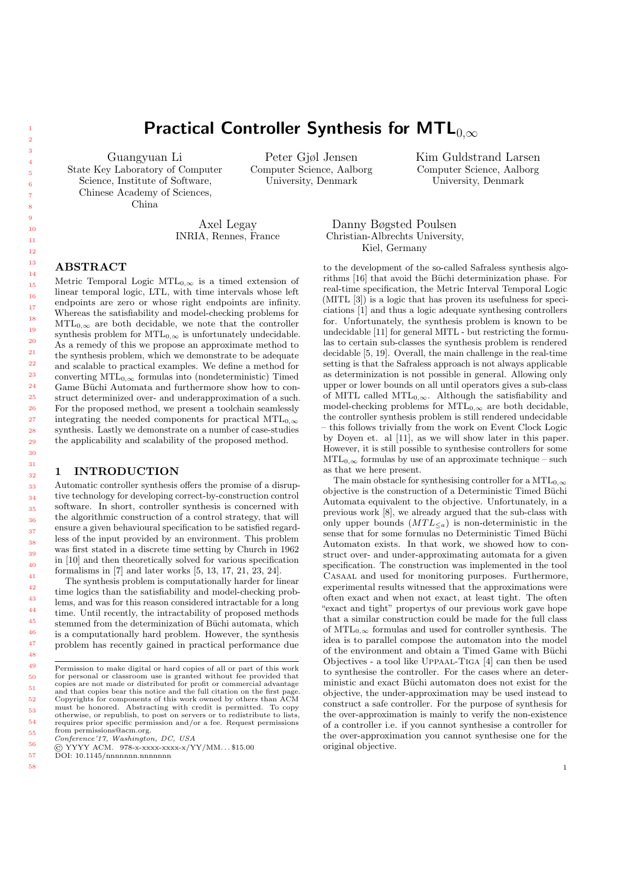# Practical Controller Synthesis for  $MTL_{0,\infty}$

Guangyuan Li State Key Laboratory of Computer Science, Institute of Software, Chinese Academy of Sciences, China

Peter Gjøl Jensen Computer Science, Aalborg University, Denmark

Axel Legay INRIA, Rennes, France Kim Guldstrand Larsen Computer Science, Aalborg University, Denmark

## Danny Bøgsted Poulsen Christian-Albrechts University, Kiel, Germany

## ABSTRACT

Metric Temporal Logic MTL<sub>0, $\infty$ </sub> is a timed extension of linear temporal logic, LTL, with time intervals whose left endpoints are zero or whose right endpoints are infinity. Whereas the satisfiability and model-checking problems for  $MTL_{0,\infty}$  are both decidable, we note that the controller synthesis problem for  $MTL_{0,\infty}$  is unfortunately undecidable. As a remedy of this we propose an approximate method to the synthesis problem, which we demonstrate to be adequate and scalable to practical examples. We define a method for converting  $MTL_{0,\infty}$  formulas into (nondeterministic) Timed Game Büchi Automata and furthermore show how to construct determinized over- and underapproximation of a such. For the proposed method, we present a toolchain seamlessly integrating the needed components for practical MTL<sub>0, $\infty$ </sub> synthesis. Lastly we demonstrate on a number of case-studies the applicability and scalability of the proposed method.

## 1 INTRODUCTION

Automatic controller synthesis offers the promise of a disruptive technology for developing correct-by-construction control software. In short, controller synthesis is concerned with the algorithmic construction of a control strategy, that will ensure a given behavioural specification to be satisfied regardless of the input provided by an environment. This problem was first stated in a discrete time setting by Church in 1962 in [10] and then theoretically solved for various specification formalisms in [7] and later works [5, 13, 17, 21, 23, 24].

The synthesis problem is computationally harder for linear time logics than the satisfiability and model-checking problems, and was for this reason considered intractable for a long time. Until recently, the intractability of proposed methods stemmed from the determinization of Büchi automata, which is a computationally hard problem. However, the synthesis problem has recently gained in practical performance due

58

to the development of the so-called Safraless synthesis algorithms [16] that avoid the Büchi determinization phase. For real-time specification, the Metric Interval Temporal Logic (MITL [3]) is a logic that has proven its usefulness for speciciations [1] and thus a logic adequate synthesing controllers for. Unfortunately, the synthesis problem is known to be undecidable [11] for general MITL - but restricting the formulas to certain sub-classes the synthesis problem is rendered decidable [5, 19]. Overall, the main challenge in the real-time setting is that the Safraless approach is not always applicable as determinization is not possible in general. Allowing only upper or lower bounds on all until operators gives a sub-class of MITL called  $MTL_{0,\infty}$ . Although the satisfiability and model-checking problems for  $MTL_{0,\infty}$  are both decidable, the controller synthesis problem is still rendered undecidable – this follows trivially from the work on Event Clock Logic by Doyen et. al [11], as we will show later in this paper. However, it is still possible to synthesise controllers for some  $MTL_{0,\infty}$  formulas by use of an approximate technique – such as that we here present.

The main obstacle for synthesising controller for a MTL<sub>0</sub> $\infty$ objective is the construction of a Deterministic Timed Büchi Automata equivalent to the objective. Unfortunately, in a previous work [8], we already argued that the sub-class with only upper bounds  $(MTL<sub>*a*</sub>)$  is non-deterministic in the sense that for some formulas no Deterministic Timed Büchi Automaton exists. In that work, we showed how to construct over- and under-approximating automata for a given specification. The construction was implemented in the tool Casaal and used for monitoring purposes. Furthermore, experimental results witnessed that the approximations were often exact and when not exact, at least tight. The often "exact and tight" propertys of our previous work gave hope that a similar construction could be made for the full class of  $MTL_{0,\infty}$  formulas and used for controller synthesis. The idea is to parallel compose the automaton into the model of the environment and obtain a Timed Game with Büchi Objectives - a tool like Uppaal-Tiga [4] can then be used to synthesise the controller. For the cases where an deterministic and exact Büchi automaton does not exist for the objective, the under-approximation may be used instead to construct a safe controller. For the purpose of synthesis for the over-approximation is mainly to verify the non-existence of a controller i.e. if you cannot synthesise a controller for the over-approximation you cannot synthesise one for the original objective.

<sup>49</sup> 50 51 52 53 54 55 Permission to make digital or hard copies of all or part of this work for personal or classroom use is granted without fee provided that copies are not made or distributed for profit or commercial advantage and that copies bear this notice and the full citation on the first page. Copyrights for components of this work owned by others than ACM must be honored. Abstracting with credit is permitted. To copy otherwise, or republish, to post on servers or to redistribute to lists, requires prior specific permission and/or a fee. Request permissions from permissions@acm.org.

<sup>56</sup> Conference'17, Washington, DC, USA

<sup>57</sup> © YYYY ACM. 978-x-xxxx-xxxx-x/YY/MM. . . \$15.00 DOI: 10.1145/nnnnnnn.nnnnnnn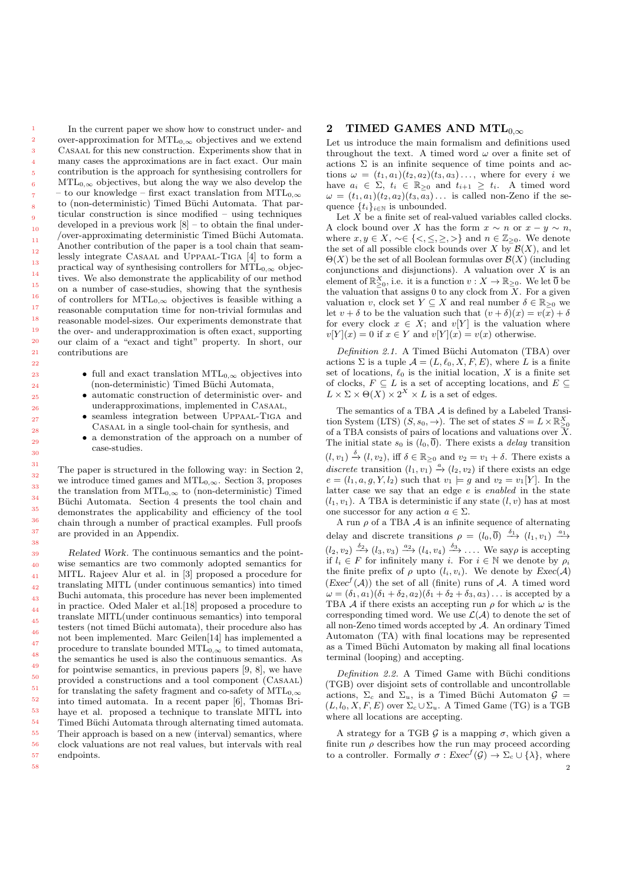In the current paper we show how to construct under- and over-approximation for  $MTL_{0,\infty}$  objectives and we extend Casaal for this new construction. Experiments show that in many cases the approximations are in fact exact. Our main contribution is the approach for synthesising controllers for  $MTL_{0,\infty}$  objectives, but along the way we also develop the – to our knowledge – first exact translation from  $MTL_{0,\infty}$ to (non-deterministic) Timed Büchi Automata. That particular construction is since modified – using techniques developed in a previous work  $[8]$  – to obtain the final under-/over-approximating deterministic Timed Büchi Automata. Another contribution of the paper is a tool chain that seamlessly integrate Casaal and Uppaal-Tiga [4] to form a practical way of synthesising controllers for  $MTL_{0,\infty}$  objectives. We also demonstrate the applicability of our method on a number of case-studies, showing that the synthesis of controllers for  $MTL_{0,\infty}$  objectives is feasible withing a reasonable computation time for non-trivial formulas and reasonable model-sizes. Our experiments demonstrate that the over- and underapproximation is often exact, supporting our claim of a "exact and tight" property. In short, our contributions are

- full and exact translation  $MTL_{0,\infty}$  objectives into (non-deterministic) Timed Büchi Automata,
- automatic construction of deterministic over- and underapproximations, implemented in Casaal,
- seamless integration between Uppaal-Tiga and Casaal in a single tool-chain for synthesis, and
- a demonstration of the approach on a number of case-studies.

The paper is structured in the following way: in Section 2, we introduce timed games and MTL<sub>0,∞</sub>. Section 3, proposes the translation from  $MTL_{0,\infty}$  to (non-deterministic) Timed Büchi Automata. Section 4 presents the tool chain and demonstrates the applicability and efficiency of the tool chain through a number of practical examples. Full proofs are provided in an Appendix.

Related Work*.* The continuous semantics and the pointwise semantics are two commonly adopted semantics for MITL. Rajeev Alur et al. in [3] proposed a procedure for translating MITL (under continuous semantics) into timed Buchi automata, this procedure has never been implemented in practice. Oded Maler et al.[18] proposed a procedure to translate MITL(under continuous semantics) into temporal testers (not timed Büchi automata), their procedure also has not been implemented. Marc Geilen[14] has implemented a procedure to translate bounded  $MTL_{0,\infty}$  to timed automata, the semantics he used is also the continuous semantics. As for pointwise semantics, in previous papers [9, 8], we have provided a constructions and a tool component (Casaal) for translating the safety fragment and co-safety of  $MTL_{0,\infty}$ into timed automata. In a recent paper [6], Thomas Brihaye et al. proposed a technique to translate MITL into Timed Büchi Automata through alternating timed automata. Their approach is based on a new (interval) semantics, where clock valuations are not real values, but intervals with real endpoints.

## 2 TIMED GAMES AND MTL $_{0,\infty}$

Let us introduce the main formalism and definitions used throughout the text. A timed word  $\omega$  over a finite set of actions  $\Sigma$  is an infinite sequence of time points and actions  $\omega = (t_1, a_1)(t_2, a_2)(t_3, a_3) \ldots$ , where for every i we have  $a_i \in \Sigma$ ,  $t_i \in \mathbb{R}_{\geq 0}$  and  $t_{i+1} \geq t_i$ . A timed word  $\omega = (t_1, a_1)(t_2, a_2)(t_3, a_3) \dots$  is called non-Zeno if the sequence  $\{t_i\}_{i\in\mathbb{N}}$  is unbounded.

Let  $\overline{X}$  be a finite set of real-valued variables called clocks. A clock bound over X has the form  $x \sim n$  or  $x - y \sim n$ , where  $x, y \in X$ ,  $\sim \in \{ \langle \langle \rangle, \langle \rangle, \rangle \}$  and  $n \in \mathbb{Z}_{\geq 0}$ . We denote the set of all possible clock bounds over X by  $\mathcal{B}(X)$ , and let  $\Theta(X)$  be the set of all Boolean formulas over  $\mathcal{B}(X)$  (including conjunctions and disjunctions). A valuation over  $X$  is an element of  $\mathbb{R}_{\geq 0}^X$ , i.e. it is a function  $v: X \to \mathbb{R}_{\geq 0}$ . We let  $\overline{0}$  be the valuation that assigns 0 to any clock from  $X$ . For a given valuation v, clock set  $Y \subseteq X$  and real number  $\delta \in \mathbb{R}_{\geq 0}$  we let  $v + \delta$  to be the valuation such that  $(v + \delta)(x) = v(x) + \delta$ for every clock  $x \in X$ ; and  $v[Y]$  is the valuation where  $v[Y](x) = 0$  if  $x \in Y$  and  $v[Y](x) = v(x)$  otherwise.

*Definition 2.1.* A Timed Büchi Automaton (TBA) over actions  $\Sigma$  is a tuple  $\mathcal{A} = (L, \ell_0, X, F, E)$ , where L is a finite set of locations,  $\ell_0$  is the initial location, X is a finite set of clocks,  $F \subseteq L$  is a set of accepting locations, and  $E \subseteq$  $L \times \Sigma \times \Theta(X) \times 2^X \times L$  is a set of edges.

The semantics of a TBA  $\mathcal A$  is defined by a Labeled Transition System (LTS)  $(S, s_0, \to)$ . The set of states  $S = L \times \mathbb{R}^X_{\geq 0}$ of a TBA consists of pairs of locations and valuations over  $\overline{X}$ . The initial state  $s_0$  is  $(l_0, \overline{0})$ . There exists a *delay* transition  $(l, v_1) \stackrel{\delta}{\rightarrow} (l, v_2)$ , iff  $\delta \in \mathbb{R}_{\geq 0}$  and  $v_2 = v_1 + \delta$ . There exists a discrete transition  $(l_1, v_1) \stackrel{a}{\rightarrow} (l_2, v_2)$  if there exists an edge  $e = (l_1, a, q, Y, l_2)$  such that  $v_1 \models q$  and  $v_2 = v_1[Y]$ . In the latter case we say that an edge e is *enabled* in the state  $(l_1, v_1)$ . A TBA is deterministic if any state  $(l, v)$  has at most one successor for any action  $a \in \Sigma$ .

A run  $\rho$  of a TBA  $\mathcal A$  is an infinite sequence of alternating delay and discrete transitions  $\rho = (l_0, \overline{0}) \stackrel{\delta_1}{\longrightarrow} (l_1, v_1) \stackrel{a_1}{\longrightarrow}$  $(l_2, v_2) \xrightarrow{\delta_2} (l_3, v_3) \xrightarrow{a_2} (l_4, v_4) \xrightarrow{\delta_3} \dots$  We say  $\rho$  is accepting if  $l_i \in F$  for infinitely many i. For  $i \in \mathbb{N}$  we denote by  $\rho_i$ the finite prefix of  $\rho$  upto  $(l_i, v_i)$ . We denote by  $Exec(\mathcal{A})$  $(Exec^{f}(\mathcal{A}))$  the set of all (finite) runs of  $\mathcal{A}$ . A timed word  $\omega = (\delta_1, a_1)(\delta_1 + \delta_2, a_2)(\delta_1 + \delta_2 + \delta_3, a_3) \dots$  is accepted by a TBA A if there exists an accepting run  $\rho$  for which  $\omega$  is the corresponding timed word. We use  $\mathcal{L}(\mathcal{A})$  to denote the set of all non-Zeno timed words accepted by  $\mathcal{A}$ . An ordinary Timed Automaton (TA) with final locations may be represented as a Timed Büchi Automaton by making all final locations terminal (looping) and accepting.

*Definition 2.2.* A Timed Game with Büchi conditions (TGB) over disjoint sets of controllable and uncontrollable actions,  $\Sigma_c$  and  $\Sigma_u$ , is a Timed Büchi Automaton  $\mathcal{G}$  =  $(L, l_0, X, F, E)$  over  $\Sigma_c \cup \Sigma_u$ . A Timed Game (TG) is a TGB where all locations are accepting.

A strategy for a TGB  $\mathcal G$  is a mapping  $\sigma$ , which given a finite run  $\rho$  describes how the run may proceed according to a controller. Formally  $\sigma : E \nvert \mathcal{G} \nvert \to \Sigma_c \cup \{\lambda\},\$  where

56 57 58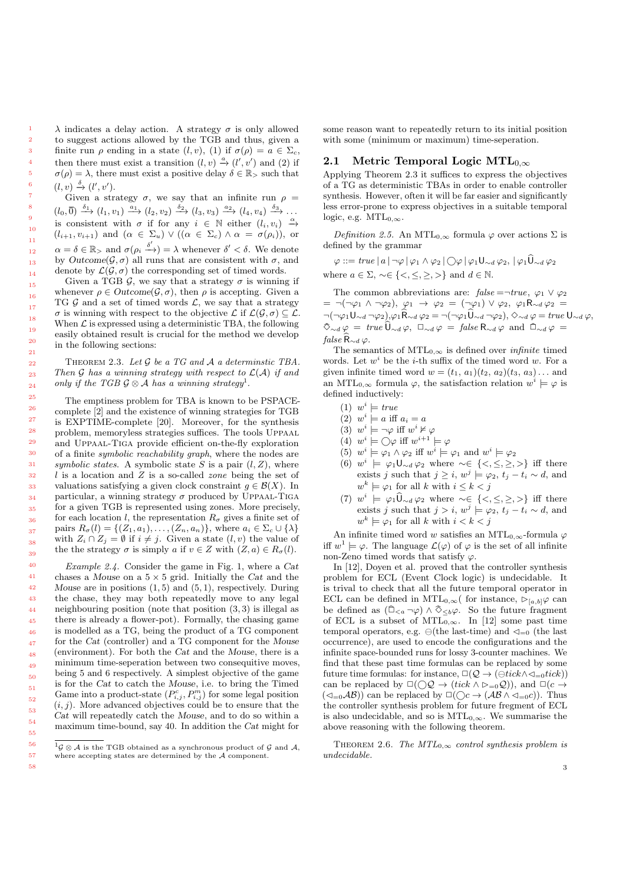λ indicates a delay action. A strategy σ is only allowed to suggest actions allowed by the TGB and thus, given a finite run  $\rho$  ending in a state  $(l, v)$ ,  $(1)$  if  $\sigma(\rho) = a \in \Sigma_c$ , then there must exist a transition  $(l, v) \stackrel{a}{\rightarrow} (l', v')$  and (2) if  $\sigma(\rho) = \lambda$ , there must exist a positive delay  $\delta \in \mathbb{R}_{>}$  such that  $(l, v) \xrightarrow{\delta} (l', v').$ 

57 58

Given a strategy  $\sigma$ , we say that an infinite run  $\rho =$  $(l_0, \overline{0}) \xrightarrow{\delta_1} (l_1, v_1) \xrightarrow{a_1} (l_2, v_2) \xrightarrow{\delta_2} (l_3, v_3) \xrightarrow{a_2} (l_4, v_4) \xrightarrow{\delta_3} \dots$ is consistent with  $\sigma$  if for any  $i \in \mathbb{N}$  either  $(l_i, v_i) \stackrel{\alpha}{\rightarrow}$  $(l_{i+1}, v_{i+1})$  and  $(\alpha \in \Sigma_u) \vee ((\alpha \in \Sigma_c) \wedge \alpha = \sigma(\rho_i)),$  or  $\alpha = \delta \in \mathbb{R}_{>}$  and  $\sigma(\rho_i \stackrel{\delta'}{\longrightarrow}) = \lambda$  whenever  $\delta' < \delta$ . We denote by  $Outcome(\mathcal{G}, \sigma)$  all runs that are consistent with  $\sigma$ , and denote by  $\mathcal{L}(\mathcal{G}, \sigma)$  the corresponding set of timed words.

Given a TGB  $G$ , we say that a strategy  $\sigma$  is winning if whenever  $\rho \in Outcome(\mathcal{G},\sigma)$ , then  $\rho$  is accepting. Given a TG  $G$  and a set of timed words  $\mathcal{L}$ , we say that a strategy  $\sigma$  is winning with respect to the objective  $\mathcal L$  if  $\mathcal L(\mathcal G, \sigma) \subset \mathcal L$ . When  $\mathcal L$  is expressed using a deterministic TBA, the following easily obtained result is crucial for the method we develop in the following sections:

Theorem 2.3. *Let* G *be a TG and* A *a determinstic TBA. Then*  $G$  *has a winning strategy with respect to*  $\mathcal{L}(\mathcal{A})$  *if and only if the TGB*  $\mathcal{G} \otimes \mathcal{A}$  *has a winning strategy*<sup>1</sup>.

The emptiness problem for TBA is known to be PSPACEcomplete [2] and the existence of winning strategies for TGB is EXPTIME-complete [20]. Moreover, for the synthesis problem, memoryless strategies suffices. The tools Uppaal and Uppaal-Tiga provide efficient on-the-fly exploration of a finite *symbolic reachability graph*, where the nodes are *symbolic states*. A symbolic state S is a pair  $(l, Z)$ , where l is a location and Z is a so-called *zone* being the set of valuations satisfying a given clock constraint  $g \in \mathcal{B}(X)$ . In particular, a winning strategy  $\sigma$  produced by UPPAAL-TIGA for a given TGB is represented using zones. More precisely, for each location l, the representation  $R_{\sigma}$  gives a finite set of pairs  $R_{\sigma}(l) = \{(Z_1, a_1), \ldots, (Z_n, a_n)\}\,$ , where  $a_i \in \Sigma_c \cup \{\lambda\}\$ with  $Z_i \cap Z_j = \emptyset$  if  $i \neq j$ . Given a state  $(l, v)$  the value of the the strategy  $\sigma$  is simply a if  $v \in Z$  with  $(Z, a) \in R_{\sigma}(l)$ .

*Example 2.4.* Consider the game in Fig. 1, where a Cat chases a Mouse on a  $5 \times 5$  grid. Initially the Cat and the Mouse are in positions  $(1, 5)$  and  $(5, 1)$ , respectively. During the chase, they may both repeatedly move to any legal neighbouring position (note that position (3, 3) is illegal as there is already a flower-pot). Formally, the chasing game is modelled as a TG, being the product of a TG component for the Cat (controller) and a TG component for the Mouse (environment). For both the Cat and the Mouse, there is a minimum time-seperation between two consequitive moves, being 5 and 6 respectively. A simplest objective of the game is for the Cat to catch the Mouse, i.e. to bring the Timed Game into a product-state  $(P_{i,j}^c, P_{i,j}^m)$  for some legal position  $(i, j)$ . More advanced objectives could be to ensure that the Cat will repeatedly catch the Mouse, and to do so within a maximum time-bound, say 40. In addition the Cat might for

some reason want to repeatedly return to its initial position with some (minimum or maximum) time-seperation.

### 2.1 Metric Temporal Logic  $MTL_{0,\infty}$

Applying Theorem 2.3 it suffices to express the objectives of a TG as deterministic TBAs in order to enable controller synthesis. However, often it will be far easier and significantly less error-prone to express objectives in a suitable temporal logic, e.g. MTL $_{0,\infty}$ .

*Definition 2.5.* An MTL<sub>0, $\infty$ </sub> formula  $\varphi$  over actions  $\Sigma$  is defined by the grammar

 $\varphi ::= true | a | \neg \varphi | \varphi_1 \wedge \varphi_2 | \bigcirc \varphi | \varphi_1 \mathsf{U}_{\sim d} \varphi_2, | \varphi_1 \widehat{\mathsf{U}}_{\sim d} \varphi_2$ where  $a \in \Sigma$ ,  $\sim \in \{ \leq, \leq, \geq, \geq \}$  and  $d \in \mathbb{N}$ .

The common abbreviations are:  $false = \neg true, \varphi_1 \vee \varphi_2$  $= \neg(\neg \varphi_1 \land \neg \varphi_2), \varphi_1 \rightarrow \varphi_2 = (\neg \varphi_1) \lor \varphi_2, \varphi_1 R_{\sim d} \varphi_2 =$  $\neg(\neg\varphi_1\mathsf{U}_{\sim d}\,\neg\varphi_2),\varphi_1\widehat{\mathsf{R}}_{\sim d}\,\varphi_2=\neg(\neg\varphi_1\widehat{\mathsf{U}}_{\sim d}\,\neg\varphi_2), \diamondsuit_{\sim d}\,\varphi= \mathit{true}\,\mathsf{U}_{\sim d}\,\varphi,$  $\Diamond_{\sim d} \varphi = \text{true} \, \widehat{\mathsf{U}}_{\sim d} \varphi$ ,  $\Box_{\sim d} \varphi = \text{false} \, \mathsf{R}_{\sim d} \varphi$  and  $\Box_{\sim d} \varphi =$ *false*  $\widehat{\mathsf{R}}_{\sim d} \varphi$ .

The semantics of  $MTL_{0,\infty}$  is defined over *infinite* timed words. Let  $w^i$  be the *i*-th suffix of the timed word w. For a given infinite timed word  $w = (t_1, a_1)(t_2, a_2)(t_3, a_3) \dots$  and an MTL<sub>0, $\infty$ </sub> formula  $\varphi$ , the satisfaction relation  $w^i \models \varphi$  is defined inductively:

- $(1)$   $w^i \models true$
- (2)  $w^i \models a \text{ iff } a_i = a$
- (3)  $w^i \models \neg \varphi$  iff  $w^i \nvDash \varphi$
- (4)  $w^i \models \bigcirc \varphi$  iff  $w^{i+1} \models \varphi$
- (5)  $w^i \models \varphi_1 \land \varphi_2$  iff  $w^i \models \varphi_1$  and  $w^i \models \varphi_2$
- (6)  $w^i$   $\models \varphi_1 \mathsf{U}_{\sim d} \varphi_2$  where ~∈ {<, ≤, ≥, >} iff there exists j such that  $j \geq i$ ,  $w^j \models \varphi_2, t_j - t_i \sim d$ , and  $w^k \models \varphi_1$  for all k with  $i \leq k < j$
- (7)  $w^i$   $\models \varphi_1 \widehat{\mathsf{U}}_{\sim d} \varphi_2$  where  $\sim \in \{ \lt, \leq, \gt, \}$  iff there exists j such that  $j > i$ ,  $w^j \models \varphi_2, t_j - t_i \sim d$ , and  $w^k \models \varphi_1$  for all k with  $i < k < j$

An infinite timed word w satisfies an MTL<sub>0,∞</sub>-formula  $\varphi$ iff  $w^1 \models \varphi$ . The language  $\mathcal{L}(\varphi)$  of  $\varphi$  is the set of all infinite non-Zeno timed words that satisfy  $\varphi$ .

In [12], Doyen et al. proved that the controller synthesis problem for ECL (Event Clock logic) is undecidable. It is trival to check that all the future temporal operator in ECL can be defined in MTL<sub>0,∞</sub>(for instance,  $\triangleright_{[a,b]} \varphi$  can be defined as  $(\mathbb{C}_{< a} \neg \varphi) \land \Diamond_{< b} \varphi$ . So the future fragment of ECL is a subset of  $MTL_{0,\infty}^{-}$ . In [12] some past time temporal operators, e.g.  $\ominus$ (the last-time) and  $\triangleleft_{=0}$  (the last occurrence), are used to encode the configurations and the infinite space-bounded runs for lossy 3-counter machines. We find that these past time formulas can be replaced by some future time formulas: for instance,  $\Box(Q \rightarrow (\ominus tick \land \lnot_{=0}tick))$ can be replaced by  $\square(\bigcirc Q \to (tick \land \rhd_{=0} Q))$ , and  $\square(c \to \rhd$  $(\lhd_{=0}A\mathcal{B})$  can be replaced by  $\square(\bigcirc c \to (\mathcal{AB} \land \lhd_{=0}c))$ . Thus the controller synthesis problem for future fregment of ECL is also undecidable, and so is  $MTL_{0,\infty}$ . We summarise the above reasoning with the following theorem.

THEOREM 2.6. *The MTL*<sub>0, $\infty$ </sub> *control synthesis problem is undecidable.*

<sup>56</sup>  $^1\mathcal{G}\otimes\mathcal{A}$  is the TGB obtained as a synchronous product of  $\mathcal{G}$  and  $\mathcal{A},$ where accepting states are determined by the  ${\mathcal A}$  component.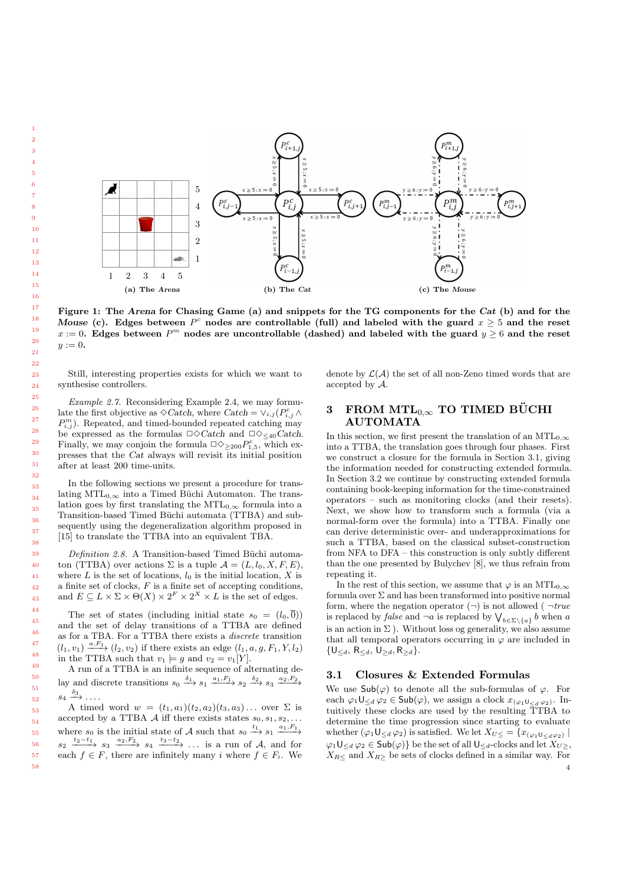56 57 58



Figure 1: The Arena for Chasing Game (a) and snippets for the TG components for the Cat (b) and for the Mouse (c). Edges between  $P^c$  nodes are controllable (full) and labeled with the guard  $x \ge 5$  and the reset  $x := 0$ . Edges between  $P^m$  nodes are uncontrollable (dashed) and labeled with the guard  $y \geq 6$  and the reset  $y := 0.$ 

Still, interesting properties exists for which we want to synthesise controllers.

*Example 2.7.* Reconsidering Example 2.4, we may formulate the first objective as  $\diamond$  Catch, where Catch =  $\vee_{i,j}(P_{i,j}^c \wedge$  $P_{i,j}^m$ ). Repeated, and timed-bounded repeated catching may be expressed as the formulas  $\Box \Diamond$ Catch and  $\Box \Diamond_{\leq 40}$ Catch. Finally, we may conjoin the formula  $\Box \Diamond_{\geq 200} P_{1,5}^c$ , which expresses that the Cat always will revisit its initial position after at least 200 time-units.

In the following sections we present a procedure for translating MTL<sub>0, $\infty$ </sub> into a Timed Büchi Automaton. The translation goes by first translating the  $MTL_{0,\infty}$  formula into a Transition-based Timed Büchi automata (TTBA) and subsequently using the degeneralization algorithm proposed in [15] to translate the TTBA into an equivalent TBA.

*Definition 2.8.* A Transition-based Timed Büchi automaton (TTBA) over actions  $\Sigma$  is a tuple  $\mathcal{A} = (L, l_0, X, F, E)$ , where  $L$  is the set of locations,  $l_0$  is the initial location,  $X$  is a finite set of clocks,  $F$  is a finite set of accepting conditions, and  $E \subseteq L \times \Sigma \times \Theta(X) \times 2^F \times 2^X \times L$  is the set of edges.

The set of states (including initial state  $s_0 = (l_0, \overline{0}))$ and the set of delay transitions of a TTBA are defined as for a TBA. For a TTBA there exists a *discrete* transition  $(l_1, v_1) \xrightarrow{a, F_1} (l_2, v_2)$  if there exists an edge  $(l_1, a, g, F_1, Y, l_2)$ in the TTBA such that  $v_1 \models g$  and  $v_2 = v_1[Y]$ .

A run of a TTBA is an infinite sequence of alternating delay and discrete transitions  $s_0 \xrightarrow{\delta_1} s_1 \xrightarrow{a_1, F_1} s_2 \xrightarrow{\delta_2} s_3 \xrightarrow{a_2, F_2}$  $s_4 \stackrel{\delta_3}{\longrightarrow} \ldots$ 

A timed word  $w = (t_1, a_1)(t_2, a_2)(t_3, a_3) \dots$  over  $\Sigma$  is accepted by a TTBA  $\mathcal A$  iff there exists states  $s_0, s_1, s_2, \ldots$ where  $s_0$  is the initial state of A such that  $s_0 \xrightarrow{t_1} s_1 \xrightarrow{a_1, F_1} s_2$  $s_2 \xrightarrow{t_2-t_1} s_3 \xrightarrow{a_2,F_2} s_4 \xrightarrow{t_3-t_2} \dots$  is a run of A, and for each  $f \in F$ , there are infinitely many i where  $f \in F_i$ . We denote by  $\mathcal{L}(\mathcal{A})$  the set of all non-Zeno timed words that are accepted by A.

# 3 FROM MTL $_{0,\infty}$  TO TIMED BÜCHI AUTOMATA

In this section, we first present the translation of an  $MTL_{0,\infty}$ into a TTBA, the translation goes through four phases. First we construct a closure for the formula in Section 3.1, giving the information needed for constructing extended formula. In Section 3.2 we continue by constructing extended formula containing book-keeping information for the time-constrained operators – such as monitoring clocks (and their resets). Next, we show how to transform such a formula (via a normal-form over the formula) into a TTBA. Finally one can derive deterministic over- and underapproximations for such a TTBA, based on the classical subset-construction from NFA to DFA – this construction is only subtly different than the one presented by Bulychev [8], we thus refrain from repeating it.

In the rest of this section, we assume that  $\varphi$  is an MTL<sub>0, $\infty$ </sub> formula over  $\Sigma$  and has been transformed into positive normal form, where the negation operator  $(\neg)$  is not allowed ( $\neg true$ is replaced by *false* and  $\neg a$  is replaced by  $\bigvee_{b \in \Sigma \setminus \{a\}} b$  when a is an action in  $\Sigma$ ). Without loss og generality, we also assume that all temporal operators occurring in  $\varphi$  are included in  $\{U_{\leq d}, R_{\leq d}, U_{\geq d}, R_{\geq d}\}.$ 

## 3.1 Closures & Extended Formulas

We use  $\mathsf{Sub}(\varphi)$  to denote all the sub-formulas of  $\varphi$ . For each  $\varphi_1 \cup_{\leq d} \varphi_2 \in \mathsf{Sub}(\varphi)$ , we assign a clock  $x_{(\varphi_1 \cup_{\leq d} \varphi_2)}$ . Intuitively these clocks are used by the resulting TTBA to determine the time progression since starting to evaluate whether  $(\varphi_1 \mathsf{U}_{\leq d} \, \varphi_2)$  is satisfied. We let  $X_{U\leq} = \{x_{(\varphi_1 \mathsf{U}_{\leq d} \varphi_2)} \mid$  $\varphi_1 \mathsf{U}_{\le d} \varphi_2 \in \mathsf{Sub}(\varphi)$  be the set of all  $\mathsf{U}_{\le d}$ -clocks and let  $X_{U>},$  $X_{R<}$  and  $X_{R>}$  be sets of clocks defined in a similar way. For 4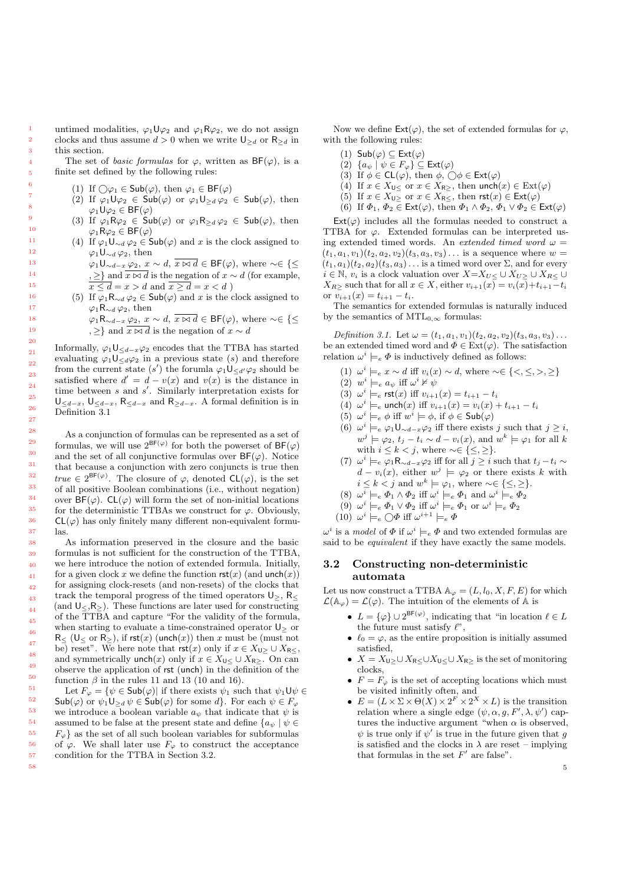untimed modalities,  $\varphi_1 \mathsf{U} \varphi_2$  and  $\varphi_1 \mathsf{R} \varphi_2$ , we do not assign clocks and thus assume  $d > 0$  when we write  $\bigcup_{\geq d}$  or  $\mathsf{R}_{\geq d}$  in this section.

The set of *basic formulas* for  $\varphi$ , written as  $BF(\varphi)$ , is a finite set defined by the following rules:

(1) If  $\bigcirc \varphi_1 \in \mathsf{Sub}(\varphi)$ , then  $\varphi_1 \in \mathsf{BF}(\varphi)$ 

58

- (2) If  $\varphi_1 \cup \varphi_2 \in \mathsf{Sub}(\varphi)$  or  $\varphi_1 \cup \varphi_2 \in \mathsf{Sub}(\varphi)$ , then  $\varphi_1\mathsf{U} \varphi_2 \in \mathsf{BF}(\varphi)$
- (3) If  $\varphi_1 \mathsf{R} \varphi_2 \in \mathsf{Sub}(\varphi)$  or  $\varphi_1 \mathsf{R}_{\geq d} \varphi_2 \in \mathsf{Sub}(\varphi)$ , then  $\varphi_1\mathsf{R} \varphi_2 \in \mathsf{BF}(\varphi)$
- (4) If  $\varphi_1 \mathsf{U}_{\sim d} \varphi_2 \in \mathsf{Sub}(\varphi)$  and x is the clock assigned to  $\varphi_1 \mathsf{U}_{\sim d} \varphi_2$ , then

 $\varphi_1 \mathsf{U}_{\sim d-x} \varphi_2, x \sim d, \overline{x \bowtie d} \in \mathsf{BF}(\varphi), \text{ where } \sim \in \{\leq$ ,  $\geq$ } and  $x \Join d$  is the negation of  $x \sim d$  (for example,  $\overline{x \leq d} = x > d$  and  $\overline{x \geq d} = x < d$ )

- (5) If  $\varphi_1 \mathsf{R}_{\sim d} \varphi_2 \in \mathsf{Sub}(\varphi)$  and x is the clock assigned to  $\varphi_1$ R $\sim$ d $\varphi_2$ , then
	- $\varphi_1 \mathsf{R}_{\sim d-x} \varphi_2, x \sim d, \overline{x \bowtie d} \in \mathsf{BF}(\varphi), \text{ where } \sim \in \{\leq$ , ≥} and  $\overline{x \bowtie d}$  is the negation of  $\overline{x \sim d}$

Informally,  $\varphi_1 \mathsf{U}_{\leq d - x} \varphi_2$  encodes that the TTBA has started evaluating  $\varphi_1 \mathsf{U}_{\leq d} \varphi_2$  in a previous state (s) and therefore from the current state  $(s')$  the forumla  $\varphi_1 \mathsf{U}_{\leq d'} \varphi_2$  should be satisfied where  $d' = d - v(x)$  and  $v(x)$  is the distance in time between s and s'. Similarly interpretation exists for  $\mathsf{U}_{\leq d-x}$ ,  $\mathsf{U}_{\leq d-x}$ ,  $\mathsf{R}_{\leq d-x}$  and  $\mathsf{R}_{\geq d-x}$ . A formal definition is in Definition 3.1

As a conjunction of formulas can be represented as a set of formulas, we will use  $2^{\mathsf{BF}(\varphi)}$  for both the powerset of  $\mathsf{BF}(\varphi)$ and the set of all conjunctive formulas over  $BF(\varphi)$ . Notice that because a conjunction with zero conjuncts is true then *true*  $\in 2^{\mathsf{BF}(\varphi)}$ . The closure of  $\varphi$ , denoted  $\mathsf{CL}(\varphi)$ , is the set of all positive Boolean combinations (i.e., without negation) over  $BF(\varphi)$ .  $CL(\varphi)$  will form the set of non-initial locations for the deterministic TTBAs we construct for  $\varphi$ . Obviously,  $CL(\varphi)$  has only finitely many different non-equivalent formulas.

As information preserved in the closure and the basic formulas is not sufficient for the construction of the TTBA, we here introduce the notion of extended formula. Initially, for a given clock x we define the function  $\text{rst}(x)$  (and  $\text{unch}(x)$ ) for assigning clock-resets (and non-resets) of the clocks that track the temporal progress of the timed operators  $\mathsf{U}_{\geq}$ , R $\lt$ (and  $U<sub>5</sub>R<sub>5</sub>$ ). These functions are later used for constructing of the TTBA and capture "For the validity of the formula, when starting to evaluate a time-constrained operator ∪> or  $R<$  (U $<$  or R $>$ ), if rst(x) (unch(x)) then x must be (must not be) reset". We here note that  $\mathsf{rst}(x)$  only if  $x \in X_{\mathsf{U}\geq} \cup X_{\mathsf{R}\leq}$ , and symmetrically unch(x) only if  $x \in X_{\mathsf{U}} \subset \cup X_{\mathsf{R}}$ . On can observe the application of rst (unch) in the definition of the function  $\beta$  in the rules 11 and 13 (10 and 16).

51 52 53 54 55 56 57 Let  $F_{\varphi} = {\psi \in Sub(\varphi)}$  if there exists  $\psi_1$  such that  $\psi_1 \cup \psi \in$  $\mathsf{Sub}(\varphi)$  or  $\psi_1 \mathsf{U}_{\geq d} \psi \in \mathsf{Sub}(\varphi)$  for some  $d$ . For each  $\psi \in F_{\varphi}$ we introduce a boolean variable  $a_{\psi}$  that indicate that  $\psi$  is assumed to be false at the present state and define  $\{a_{\psi} | \psi \in \mathbb{R}\}$  $F_{\varphi}$  as the set of all such boolean variables for subformulas of  $\varphi$ . We shall later use  $F_{\varphi}$  to construct the acceptance condition for the TTBA in Section 3.2.

Now we define  $\text{Ext}(\varphi)$ , the set of extended formulas for  $\varphi$ , with the following rules:

- (1)  $\mathsf{Sub}(\varphi) \subseteq \mathsf{Ext}(\varphi)$
- (2)  $\{a_{\psi} \mid \psi \in F_{\varphi}\} \subseteq \mathsf{Ext}(\varphi)$
- (3) If  $\phi \in \mathsf{CL}(\varphi)$ , then  $\phi$ ,  $\bigcirc \phi \in \mathsf{Ext}(\varphi)$
- (4) If  $x \in X_{\mathsf{U} \leq}$  or  $x \in X_{\mathsf{R} \geq}$ , then  $\mathsf{unch}(x) \in \mathrm{Ext}(\varphi)$
- (5) If  $x \in X_{\mathsf{U}\geq}$  or  $x \in X_{\mathsf{R}\leq}$ , then  $\mathsf{rst}(x) \in \mathsf{Ext}(\varphi)$
- (6) If  $\Phi_1, \Phi_2 \in \text{Ext}(\varphi)$ , then  $\Phi_1 \wedge \Phi_2, \Phi_1 \vee \Phi_2 \in \text{Ext}(\varphi)$

 $Ext(\varphi)$  includes all the formulas needed to construct a TTBA for  $\varphi$ . Extended formulas can be interpreted using extended timed words. An *extended timed word*  $\omega =$  $(t_1, a_1, v_1)(t_2, a_2, v_2)(t_3, a_3, v_3) \dots$  is a sequence where  $w =$  $(t_1, a_1)(t_2, a_2)(t_3, a_3) \dots$  is a timed word over  $\Sigma$ , and for every  $i \in \mathbb{N}$ ,  $v_i$  is a clock valuation over  $X=X_{U\leq} \cup X_{U\geq} \cup X_{R\leq} \cup$  $X_{R\geq}$  such that for all  $x \in X$ , either  $v_{i+1}(x) = v_i(x) + t_{i+1} - t_i$ or  $v_{i+1}(x) = t_{i+1} - t_i$ .

The semantics for extended formulas is naturally induced by the semantics of  $MTL_{0,\infty}$  formulas:

*Definition 3.1.* Let  $\omega = (t_1, a_1, v_1)(t_2, a_2, v_2)(t_3, a_3, v_3) \dots$ be an extended timed word and  $\Phi \in \operatorname{Ext}(\varphi)$  . The satisfaction relation  $\omega^i \models_e \Phi$  is inductively defined as follows:

- (1)  $\omega^i \models_e x \sim d \text{ iff } v_i(x) \sim d \text{, where } \sim \in \{ \leq, \leq, >, \geq \}$
- (2)  $w^i \models_e a_\psi \text{ iff } \omega^i \nvDash \psi$
- (3)  $\omega^i \models_e \text{rst}(x)$  iff  $v_{i+1}(x) = t_{i+1} t_i$
- (4)  $\omega^i \models_e \text{unch}(x) \text{ iff } v_{i+1}(x) = v_i(x) + t_{i+1} t_i$
- (5)  $\omega^i \models_e \phi$  iff  $w^i \models \phi$ , if  $\phi \in \mathsf{Sub}(\varphi)$
- (6)  $\omega^i \models_e \varphi_1 \mathsf{U}_{\sim d-x} \varphi_2$  iff there exists j such that  $j \geq i$ ,  $w^j \models \varphi_2, t_j - t_i \sim d - v_i(x)$ , and  $w^k \models \varphi_1$  for all k with  $i \leq k < j$ , where ~∈ { $\leq, \geq$ }.
- (7)  $\omega^i \models_e \varphi_1 \mathsf{R}_{\sim d-x} \varphi_2$  iff for all  $j \geq i$  such that  $t_j t_i \sim$  $d - v_i(x)$ , either  $w^j \models \varphi_2$  or there exists k with  $i \leq k < j$  and  $w^k \models \varphi_1$ , where ~∈ { $\leq, \geq$ }.
- (8)  $\omega^i \models_e \Phi_1 \land \Phi_2$  iff  $\omega^i \models_e \Phi_1$  and  $\omega^i \models_e \Phi_2$
- (9)  $\omega^i \models_e \Phi_1 \lor \Phi_2$  iff  $\omega^i \models_e \Phi_1$  or  $\omega^i \models_e \Phi_2$
- (10)  $\omega^i \models_e \bigcirc \Phi$  iff  $\omega^{i+1} \models_e \Phi$

 $\omega^i$  is a *model* of  $\Phi$  if  $\omega^i \models_e \Phi$  and two extended formulas are said to be *equivalent* if they have exactly the same models.

#### 3.2 Constructing non-deterministic automata

Let us now construct a TTBA  $\mathbb{A}_{\varphi} = (L, l_0, X, F, E)$  for which  $\mathcal{L}(\mathbb{A}_{\varphi}) = \mathcal{L}(\varphi)$ . The intuition of the elements of A is

- $L = {\varphi} \cup 2^{\mathsf{BF}(\varphi)}$ , indicating that "in location  $\ell \in L$ the future must satisfy  $\ell$ ",
- $\ell_0 = \varphi$ , as the entire proposition is initially assumed satisfied,
- $X = X_{\cup \geq} \cup X_{\cup \leq} \cup X_{\cup \leq} \cup X_{\cup \geq}$  is the set of monitoring clocks,
- $F = F_{\varphi}$  is the set of accepting locations which must be visited infinitly often, and
- $E = (L \times \Sigma \times \Theta(X) \times 2^{F} \times 2^{X} \times L)$  is the transition relation where a single edge  $(\psi, \alpha, g, F', \lambda, \psi')$  captures the inductive argument "when  $\alpha$  is observed,  $\psi$  is true only if  $\psi'$  is true in the future given that g is satisfied and the clocks in  $\lambda$  are reset – implying that formulas in the set  $F'$  are false".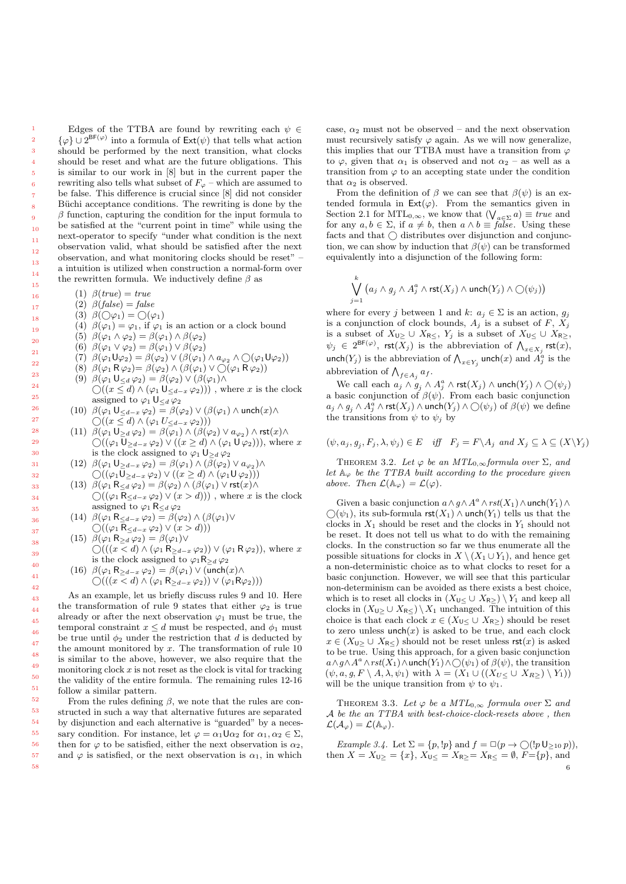Edges of the TTBA are found by rewriting each  $\psi \in$  $\{\varphi\} \cup 2^{\mathsf{BF}(\varphi)}$  into a formula of  $\mathsf{Ext}(\psi)$  that tells what action should be performed by the next transition, what clocks should be reset and what are the future obligations. This is similar to our work in [8] but in the current paper the rewriting also tells what subset of  $F_{\varphi}$  – which are assumed to be false. This difference is crucial since [8] did not consider Büchi acceptance conditions. The rewriting is done by the  $\beta$  function, capturing the condition for the input formula to be satisfied at the "current point in time" while using the next-operator to specify "under what condition is the next observation valid, what should be satisfied after the next observation, and what monitoring clocks should be reset" – a intuition is utilized when construction a normal-form over the rewritten formula. We inductively define  $\beta$  as

(1)  $\beta$ (*true*) = *true* 

- $\hat{g}(2)$   $\hat{g}(false) = false$
- (3)  $\beta(\bigcirc \varphi_1) = \bigcirc (\varphi_1)$
- (4)  $\beta(\varphi_1) = \varphi_1$ , if  $\varphi_1$  is an action or a clock bound
- (5)  $\beta(\varphi_1 \wedge \varphi_2) = \beta(\varphi_1) \wedge \beta(\varphi_2)$
- (6)  $\beta(\varphi_1 \vee \varphi_2) = \beta(\varphi_1) \vee \beta(\varphi_2)$
- (7)  $\beta(\varphi_1 \mathsf{U} \varphi_2) = \beta(\varphi_2) \vee (\beta(\varphi_1) \wedge a_{\varphi_2} \wedge \bigcirc (\varphi_1 \mathsf{U} \varphi_2))$
- (8)  $\beta(\varphi_1 \mathsf{R} \varphi_2) = \beta(\varphi_2) \wedge (\beta(\varphi_1) \vee \bigcirc (\varphi_1 \mathsf{R} \varphi_2))$ (9)  $\beta(\varphi_1 \mathsf{U}_{\leq d} \varphi_2) = \beta(\varphi_2) \vee (\beta(\varphi_1) \wedge$  $\bigcirc$  (( $x \le d$ )  $\wedge$  ( $\varphi_1 \cup_{\le d-x} \varphi_2$ ))), where x is the clock
	- assigned to  $\varphi_1 \mathsf{U}_{\le d} \varphi_2$
- (10)  $\beta(\varphi_1 \mathsf{U}_{\leq d-x} \varphi_2) = \beta(\varphi_2) \vee (\beta(\varphi_1) \wedge \text{unch}(x) \wedge$  $\bigcirc ((x \leq d) \wedge (\varphi_1 U_{\leq d-x} \varphi_2)))$
- $(11) \ \widehat{\beta(\varphi_1 \cup_{\geq d} \varphi_2)} = \widehat{\beta(\varphi_1)} \wedge (\widehat{\beta(\varphi_2)} \vee a_{\varphi_2}) \wedge \mathsf{rst}(x) \wedge$  $\bigcirc ((\varphi_1 \overline{\mathsf{U}}_{\geq d-x} \varphi_2) \vee ((x \geq d) \wedge (\varphi_1 \mathsf{U} \varphi_2))),$  where x is the clock assigned to  $\varphi_1 \mathsf{U}_{\geq d} \varphi_2$
- (12)  $\beta(\varphi_1 \mathsf{U}_{\geq d-x} \varphi_2) = \beta(\varphi_1) \wedge (\bar{\beta}(\varphi_2) \vee a_{\varphi_2}) \wedge$  $\bigcirc ((\varphi_1 \overline{\mathsf{U}}_{\geq d-x} \varphi_2) \vee ((x \geq d) \wedge (\varphi_1 \mathsf{U} \varphi_2)))$
- (13)  $\beta(\varphi_1 \mathsf{R}_{\leq d} \varphi_2) = \beta(\varphi_2) \wedge (\beta(\varphi_1) \vee \mathsf{rst}(x) \wedge$  $\mathcal{O}((\varphi_1 \overline{R}_{\leq d-x} \varphi_2) \vee (x > d)))$ , where x is the clock assigned to  $\varphi_1$  R  $_{\leq d}$   $\varphi_2$
- (14)  $\beta(\varphi_1 \mathsf{R}_{\leq d-x} \varphi_2) = \beta(\varphi_2) \wedge (\beta(\varphi_1) \vee$  $\bigcirc ((\varphi_1 \overline{R}_{\leq d-x} \varphi_2) \vee (x > d)))$
- (15)  $\beta(\varphi_1 \mathsf{R}_{\geq d} \varphi_2) = \beta(\varphi_1) \vee$  $\bigcirc$ ((( $x < d$ ) ∧ ( $\varphi$ <sub>1</sub> R<sub>≥d−x</sub>  $\varphi$ <sub>2</sub>)) ∨ ( $\varphi$ <sub>1</sub> R  $\varphi$ <sub>2</sub>)), where x is the clock assigned to  $\varphi_1 \hat{\mathsf{R}}_{\geq d} \varphi_2$
- (16)  $\beta(\varphi_1 \mathsf{R}_{\geq d-x} \varphi_2) = \beta(\varphi_1) \vee (\mathsf{unch}(x) \wedge$  $\bigcirc((x < d) \wedge (\varphi_1 \mathsf{R}_{\geq d-x} \varphi_2)) \vee (\varphi_1 \mathsf{R} \varphi_2))$

As an example, let us briefly discuss rules 9 and 10. Here the transformation of rule 9 states that either  $\varphi_2$  is true already or after the next observation  $\varphi_1$  must be true, the temporal constraint  $x \leq d$  must be respected, and  $\phi_1$  must be true until  $\phi_2$  under the restriction that d is deducted by the amount monitored by  $x$ . The transformation of rule 10 is similar to the above, however, we also require that the monitoring clock  $x$  is not reset as the clock is vital for tracking the validity of the entire formula. The remaining rules 12-16 follow a similar pattern.

From the rules defining  $\beta$ , we note that the rules are constructed in such a way that alternative futures are separated by disjunction and each alternative is "guarded" by a necessary condition. For instance, let  $\varphi = \alpha_1 \mathsf{U} \alpha_2$  for  $\alpha_1, \alpha_2 \in \Sigma$ , then for  $\varphi$  to be satisfied, either the next observation is  $\alpha_2$ , and  $\varphi$  is satisfied, or the next observation is  $\alpha_1$ , in which

case,  $\alpha_2$  must not be observed – and the next observation must recursively satisfy  $\varphi$  again. As we will now generalize, this implies that our TTBA must have a transition from  $\varphi$ to  $\varphi$ , given that  $\alpha_1$  is observed and not  $\alpha_2$  – as well as a transition from  $\varphi$  to an accepting state under the condition that  $\alpha_2$  is observed.

From the definition of  $\beta$  we can see that  $\beta(\psi)$  is an extended formula in  $\mathsf{Ext}(\varphi)$ . From the semantics given in Section 2.1 for  $MTL_{0,\infty}$ , we know that  $(\bigvee_{a\in\Sigma}a)\equiv \text{true}$  and for any  $a, b \in \Sigma$ , if  $a \neq b$ , then  $a \wedge b = false$ . Using these facts and that  $\bigcap$  distributes over disjunction and conjunction, we can show by induction that  $\beta(\psi)$  can be transformed equivalently into a disjunction of the following form:

$$
\bigvee_{j=1}^k \left( a_j \wedge g_j \wedge A_j^a \wedge \mathrm{rst}(X_j) \wedge \mathrm{unch}(Y_j) \wedge \bigcirc (\psi_j) \right)
$$

where for every j between 1 and k:  $a_j \in \Sigma$  is an action,  $g_j$ is a conjunction of clock bounds,  $A_j$  is a subset of F,  $X_j$ is a subset of  $X_{\cup \geq} \cup X_{\mathsf{R}\leq}$ ,  $Y_j$  is a subset of  $X_{\cup \leq} \cup X_{\mathsf{R}\geq}$ ,  $\psi_j \in 2^{\mathsf{BF}(\varphi)}$ , rst $(\bar{X}_j)$  is the abbreviation of  $\bigwedge_{x \in X_j} \mathsf{rst}(x)$ , unch $(Y_j)$  is the abbreviation of  $\bigwedge_{x \in Y_j}$  unch $(x)$  and  $\overline{A_j^a}$  is the abbreviation of  $\bigwedge_{f \in A_j} a_f$ .

We call each  $a_j \wedge g_j \wedge A_j^a \wedge \mathsf{rst}(X_j) \wedge \mathsf{unch}(Y_j) \wedge \bigcirc (\psi_j)$ a basic conjunction of  $\beta(\psi)$ . From each basic conjunction  $a_j \wedge g_j \wedge A_j^a \wedge \mathsf{rst}(X_j) \wedge \mathsf{unch}(Y_j) \wedge \bigcirc (\psi_j) \text{ of } \beta(\psi) \text{ we define }$ the transitions from  $\psi$  to  $\psi_j$  by

 $(\psi, a_j, g_j, F_j, \lambda, \psi_j) \in E$  *iff*  $F_j = F \setminus A_j$  and  $X_j \subseteq \lambda \subseteq (X \setminus Y_j)$ 

THEOREM 3.2. Let  $\varphi$  be an MTL<sub>0,∞</sub> formula over  $\Sigma$ , and *let*  $\mathbb{A}_{\varphi}$  *be the TTBA built according to the procedure given above.* Then  $\mathcal{L}(\mathbb{A}_{\varphi}) = \mathcal{L}(\varphi)$ .

Given a basic conjunction  $a \wedge g \wedge A^a \wedge rst(X_1) \wedge$ unch $(Y_1) \wedge$  $\bigcirc(\psi_1)$ , its sub-formula  $\mathsf{rst}(X_1) \wedge \mathsf{unch}(Y_1)$  tells us that the clocks in  $X_1$  should be reset and the clocks in  $Y_1$  should not be reset. It does not tell us what to do with the remaining clocks. In the construction so far we thus enumerate all the possible situations for clocks in  $X \setminus (X_1 \cup Y_1)$ , and hence get a non-deterministic choice as to what clocks to reset for a basic conjunction. However, we will see that this particular non-determinism can be avoided as there exists a best choice, which is to reset all clocks in  $(X_{\cup \leq} \cup X_{\cup \leq}) \setminus Y_1$  and keep all clocks in  $(X_{\mathsf{U}}> \cup X_{\mathsf{R}}<)\setminus X_1$  unchanged. The intuition of this choice is that each clock  $x \in (X_{\cup \leq} \cup X_{\cup \leq})$  should be reset to zero unless  $\text{unch}(x)$  is asked to be true, and each clock  $x \in (X_{\mathsf{U}}) \cup X_{\mathsf{R}}$  should not be reset unless  $\mathsf{rst}(x)$  is asked to be true. Using this approach, for a given basic conjunction  $a \wedge g \wedge A^a \wedge rst(X_1) \wedge$ unch $(Y_1) \wedge \bigcirc (\psi_1)$  of  $\beta(\psi)$ , the transition  $(\psi, a, q, F \setminus A, \lambda, \psi_1)$  with  $\lambda = (X_1 \cup ((X_{U< \cup X_{R>}) \setminus Y_1))$ will be the unique transition from  $\psi$  to  $\psi_1$ .

THEOREM 3.3. Let  $\varphi$  be a MTL<sub>0, $\infty$ </sub> formula over  $\Sigma$  and A *be the an TTBA with best-choice-clock-resets above , then*  $\mathcal{L}(\mathcal{A}_{\varphi}) = \mathcal{L}(\mathbb{A}_{\varphi}).$ 

*Example 3.4.* Let  $\Sigma = \{p, !p\}$  and  $f = \Box(p \rightarrow \bigcirc (!p \mathsf{U}_{\geq 10} p)),$ then  $X = X_{\mathsf{U}>} = \{x\}, X_{\mathsf{U}<} = X_{\mathsf{R}>} = X_{\mathsf{R}<} = \emptyset, F = \{p\}, \text{and}$ 6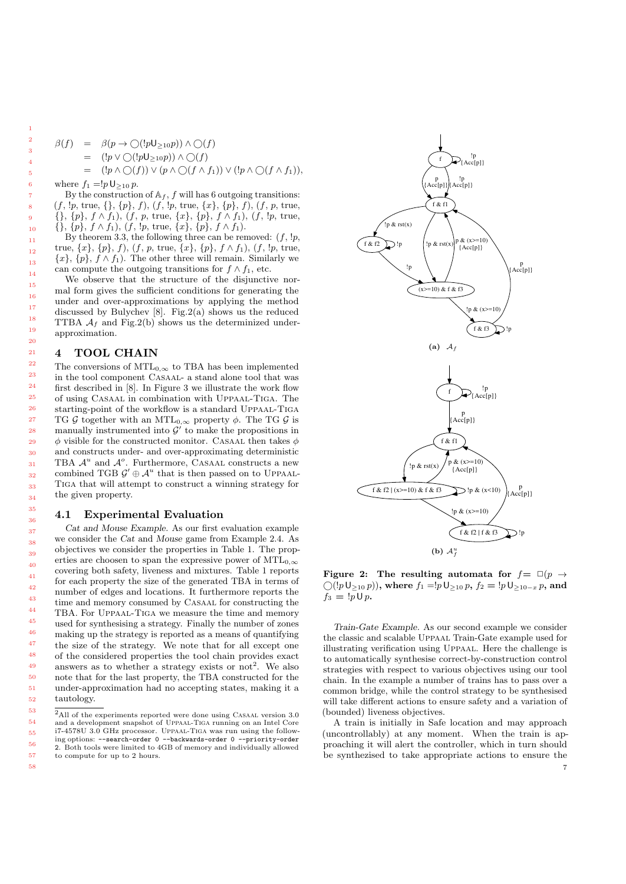$$
\beta(f) = \beta(p \to \bigcirc (!p \cup_{\geq 10} p)) \land \bigcirc(f)
$$
  
= 
$$
(!p \lor \bigcirc (!p \cup_{\geq 10} p)) \land \bigcirc(f)
$$
  
= 
$$
(!p \land \bigcirc(f)) \lor (p \land \bigcirc(f \land f_1)) \lor (!p \land \bigcirc(f \land f_1)),
$$

where  $f_1 = !p \mathsf{U}_{\geq 10} p$ .

By the construction of  $A_f$ ,  $f$  will has 6 outgoing transitions:  $(f, \, !p, \, true, \, \{\}, \, \{p\}, \, f), \, (f, \, !p, \, true, \, \{x\}, \, \{p\}, \, f), \, (f, \, p, \, true, \, \{x\}, \, \{x\}, \, \{x\}, \, \{x\}, \, \{x\}, \, \{x\}, \, \{x\}, \, \{x\}, \, \{x\}, \, \{x\}, \, \{x\}, \, \{x\}, \, \{x\}, \, \{x\}, \, \{x\}, \, \{x\}, \, \{x\}, \, \{x\}, \, \{x\}, \, \{x\}, \, \{x\}, \$  $\{\}, \{p\}, f \wedge f_1), (f, p, \text{true}, \{x\}, \{p\}, f \wedge f_1), (f, \text{!}p, \text{true},$  ${\mathfrak{f}}, {\mathfrak{p}}, f \wedge f_1, (f, \, p, \, \text{true}, \, \{x\}, \, {\mathfrak{p}}, f \wedge f_1).$ 

By theorem 3.3, the following three can be removed:  $(f, !p, )$ true,  $\{x\}$ ,  $\{p\}$ ,  $f$ ),  $(f, p, \text{true}, \{x\}$ ,  $\{p\}$ ,  $f \wedge f_1$ ),  $(f, \mu, \text{true})$  ${x}$ ,  ${p}$ ,  $f \wedge f_1$ . The other three will remain. Similarly we can compute the outgoing transitions for  $f \wedge f_1$ , etc.

We observe that the structure of the disjunctive normal form gives the sufficient conditions for generating the under and over-approximations by applying the method discussed by Bulychev [8]. Fig.2(a) shows us the reduced TTBA  $A_f$  and Fig.2(b) shows us the determinized underapproximation.

## 4 TOOL CHAIN

The conversions of  $MTL_{0,\infty}$  to TBA has been implemented in the tool component Casaal- a stand alone tool that was first described in [8]. In Figure 3 we illustrate the work flow of using Casaal in combination with Uppaal-Tiga. The starting-point of the workflow is a standard Uppaal-Tiga TG $\mathcal G$  together with an MTL<sub>0, $\infty$ </sub> property  $\phi$ . The TG  $\mathcal G$  is manually instrumented into  $\mathcal{G}'$  to make the propositions in  $\phi$  visible for the constructed monitor. Casaal then takes  $\phi$ and constructs under- and over-approximating deterministic TBA  $\mathcal{A}^u$  and  $\mathcal{A}^o$ . Furthermore, CASAAL constructs a new combined TGB  $\mathcal{G}' \oplus \mathcal{A}^u$  that is then passed on to UPPAAL-Tiga that will attempt to construct a winning strategy for the given property.

#### 4.1 Experimental Evaluation

Cat and Mouse Example*.* As our first evaluation example we consider the Cat and Mouse game from Example 2.4. As objectives we consider the properties in Table 1. The properties are choosen to span the expressive power of  $MTL_{0,\infty}$ covering both safety, liveness and mixtures. Table 1 reports for each property the size of the generated TBA in terms of number of edges and locations. It furthermore reports the time and memory consumed by CASAAL for constructing the TBA. For Uppaal-Tiga we measure the time and memory used for synthesising a strategy. Finally the number of zones making up the strategy is reported as a means of quantifying the size of the strategy. We note that for all except one of the considered properties the tool chain provides exact answers as to whether a strategy exists or  $not^2$ . We also note that for the last property, the TBA constructed for the under-approximation had no accepting states, making it a tautology.



Figure 2: The resulting automata for  $f= \Box(p \rightarrow p)$  $\bigcirc (!p \cup_{\geq 10} p)$ , where  $f_1 = !p \cup_{\geq 10} p$ ,  $f_2 = !p \cup_{\geq 10-x} p$ , and  $f_3 = ! p \overline{\cup p}$ .

Train-Gate Example*.* As our second example we consider the classic and scalable Uppaal Train-Gate example used for illustrating verification using Uppaal. Here the challenge is to automatically synthesise correct-by-construction control strategies with respect to various objectives using our tool chain. In the example a number of trains has to pass over a common bridge, while the control strategy to be synthesised will take different actions to ensure safety and a variation of (bounded) liveness objectives.

A train is initially in Safe location and may approach (uncontrollably) at any moment. When the train is approaching it will alert the controller, which in turn should be synthezised to take appropriate actions to ensure the

<sup>53</sup> 54 55 56 57  $^2\mathrm{All}$  of the experiments reported were done using CASAAL version  $3.0$ and a development snapshot of UPPAAL-TIGA running on an Intel Core i7-4578U 3.0 GHz processor. Uppaal-Tiga was run using the following options: --search-order 0 --backwards-order 0 --priority-order 2. Both tools were limited to 4GB of memory and individually allowed to compute for up to 2 hours.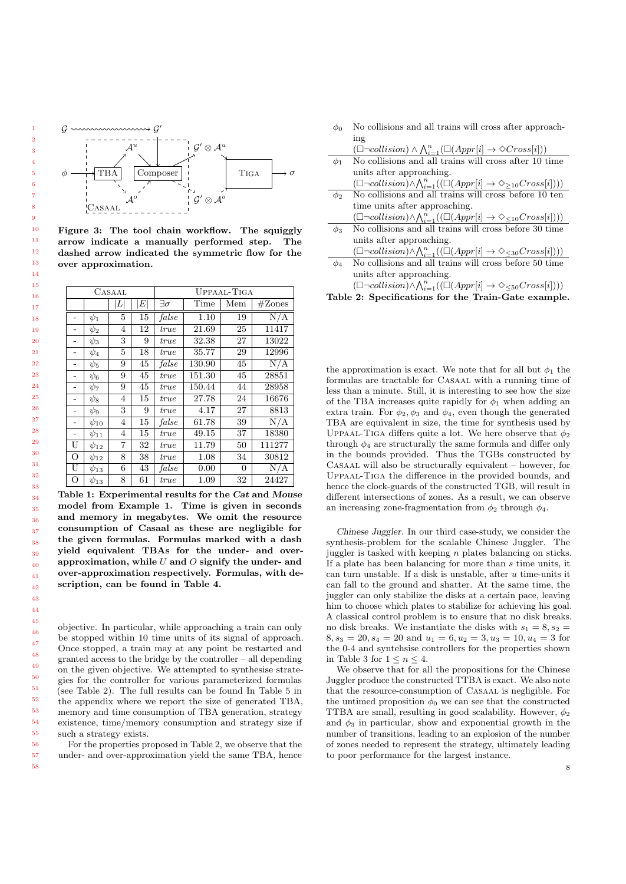

Figure 3: The tool chain workflow. The squiggly arrow indicate a manually performed step. The dashed arrow indicated the symmetric flow for the over approximation.

|   |                       | CASAAL |                  | UPPAAL-TIGA |               |          |        |  |  |  |  |
|---|-----------------------|--------|------------------|-------------|---------------|----------|--------|--|--|--|--|
|   | L<br>$\scriptstyle E$ |        | $\exists \sigma$ | Time        | Mem<br>#Zones |          |        |  |  |  |  |
|   | $\psi_1$              | 5      | 15               | false       | 1.10          | 19       | N/A    |  |  |  |  |
|   | $\psi_2$              | 4      | 12               | true        | 21.69         | 25       | 11417  |  |  |  |  |
|   | $\psi_3$              | 3      | 9                | true        | 32.38         | 27       | 13022  |  |  |  |  |
|   | $\psi_4$              | 5      | 18               | true        | 35.77         | 29       | 12996  |  |  |  |  |
|   | $\psi_5$              | 9      | 45               | false       | 130.90        | 45       | N/A    |  |  |  |  |
|   | $\psi_6$              | 9      | 45               | true        | 151.30        | 45       | 28851  |  |  |  |  |
|   | $\psi_7$              | 9      | 45               | true        | 150.44        | 44       | 28958  |  |  |  |  |
|   | $\psi_8$              | 4      | 15               | true        | 27.78         | 24       | 16676  |  |  |  |  |
|   | $\psi_9$              | 3      | 9                | true        | 4.17          | 27       | 8813   |  |  |  |  |
|   | $\psi_{10}$           | 4      | 15               | false       | 61.78         | 39       | N/A    |  |  |  |  |
|   | $\psi_{11}$           | 4      | 15               | true        | 49.15         | 37       | 18380  |  |  |  |  |
| U | $\psi_{12}$           | 7      | 32               | true        | 11.79         | 50       | 111277 |  |  |  |  |
| О | $\psi_{12}$           | 8      | 38               | <i>true</i> | 1.08          | 34       | 30812  |  |  |  |  |
| U | $\psi_{13}$           | 6      | 43               | false       | 0.00          | $\theta$ | N/A    |  |  |  |  |
| O | $\psi_{13}$           | 8      | 61               | true        | 1.09          | 32       | 24427  |  |  |  |  |

Table 1: Experimental results for the Cat and Mouse model from Example 1. Time is given in seconds and memory in megabytes. We omit the resource consumption of Casaal as these are negligible for the given formulas. Formulas marked with a dash yield equivalent TBAs for the under- and overapproximation, while  $U$  and  $O$  signify the under- and over-approximation respectively. Formulas, with description, can be found in Table 4.

objective. In particular, while approaching a train can only be stopped within 10 time units of its signal of approach. Once stopped, a train may at any point be restarted and granted access to the bridge by the controller – all depending on the given objective. We attempted to synthesise strategies for the controller for various parameterized formulas (see Table 2). The full results can be found In Table 5 in the appendix where we report the size of generated TBA. memory and time consumption of TBA generation, strategy existence, time/memory consumption and strategy size if such a strategy exists.

For the properties proposed in Table 2, we observe that the under- and over-approximation yield the same TBA, hence  $\phi_0$  No collisions and all trains will cross after approaching

|          | $(\Box \neg collision) \land \bigwedge_{i=1}^{n} (\Box (Appr[i] \rightarrow \Diamond Cross[i]))$              |
|----------|---------------------------------------------------------------------------------------------------------------|
| $\phi_1$ | No collisions and all trains will cross after 10 time                                                         |
|          | units after approaching.                                                                                      |
|          | $(\Box \neg collision) \land \bigwedge_{i=1}^{n} ((\Box (Appr[i] \rightarrow \Diamond_{\geq 10} Cross[i]))))$ |
| $\phi_2$ | No collisions and all trains will cross before 10 ten                                                         |
|          | time units after approaching.                                                                                 |
|          | $(\Box \neg collision) \land \bigwedge_{i=1}^{n} ((\Box (Appr[i] \rightarrow \Diamond_{\leq 10} Cross[i]))))$ |
| $\phi_3$ | No collisions and all trains will cross before 30 time                                                        |
|          | units after approaching.                                                                                      |
|          | $(\Box \neg collision) \land \bigwedge_{i=1}^{n} ((\Box (Appr[i] \rightarrow \Diamond_{\leq 30} Cross[i]))))$ |
| $\phi_4$ | No collisions and all trains will cross before 50 time                                                        |
|          | units after approaching.                                                                                      |

- $(\Box \neg collision) \land \bigwedge_{i=1}^{n} ((\Box (Appr[i] \rightarrow \Diamond_{\leq 50} Cross[i])) )$
- Table 2: Specifications for the Train-Gate example.

the approximation is exact. We note that for all but  $\phi_1$  the formulas are tractable for Casaal with a running time of less than a minute. Still, it is interesting to see how the size of the TBA increases quite rapidly for  $\phi_1$  when adding an extra train. For  $\phi_2$ ,  $\phi_3$  and  $\phi_4$ , even though the generated TBA are equivalent in size, the time for synthesis used by UPPAAL-TIGA differs quite a lot. We here observe that  $\phi_2$ through  $\phi_4$  are structurally the same formula and differ only in the bounds provided. Thus the TGBs constructed by Casaal will also be structurally equivalent – however, for Uppaal-Tiga the difference in the provided bounds, and hence the clock-guards of the constructed TGB, will result in different intersections of zones. As a result, we can observe an increasing zone-fragmentation from  $\phi_2$  through  $\phi_4$ .

Chinese Juggler*.* In our third case-study, we consider the synthesis-problem for the scalable Chinese Juggler. The juggler is tasked with keeping n plates balancing on sticks. If a plate has been balancing for more than s time units, it can turn unstable. If a disk is unstable, after u time-units it can fall to the ground and shatter. At the same time, the juggler can only stabilize the disks at a certain pace, leaving him to choose which plates to stabilize for achieving his goal. A classical control problem is to ensure that no disk breaks. no disk breaks. We instantiate the disks with  $s_1 = 8$ ,  $s_2 =$  $8, s_3 = 20, s_4 = 20$  and  $u_1 = 6, u_2 = 3, u_3 = 10, u_4 = 3$  for the 0-4 and syntehsise controllers for the properties shown in Table 3 for  $1 \leq n \leq 4$ .

We observe that for all the propositions for the Chinese Juggler produce the constructed TTBA is exact. We also note that the resource-consumption of Casaal is negligible. For the untimed proposition  $\phi_0$  we can see that the constructed TTBA are small, resulting in good scalability. However,  $\phi_2$ and  $\phi_3$  in particular, show and exponential growth in the number of transitions, leading to an explosion of the number of zones needed to represent the strategy, ultimately leading to poor performance for the largest instance.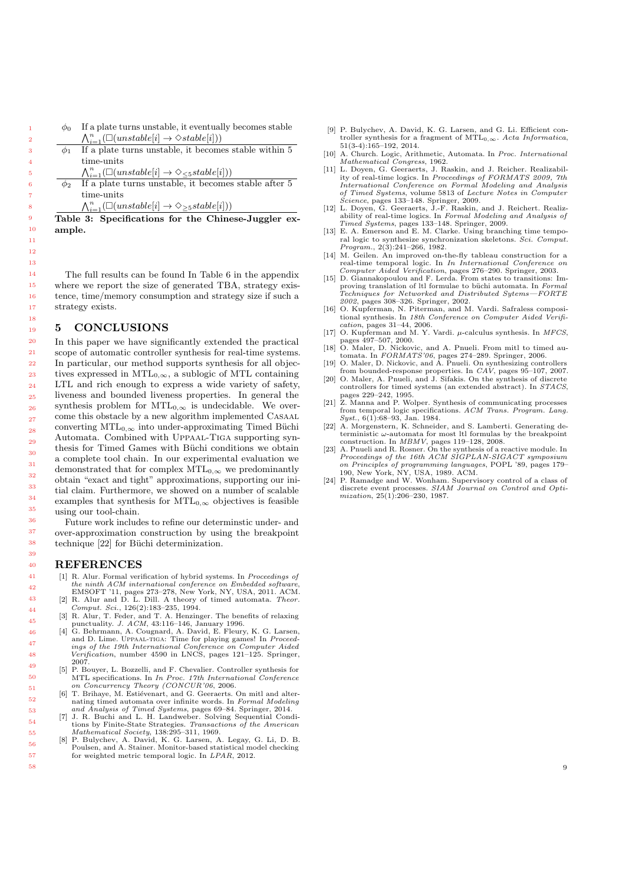| $\phi_0$ | If a plate turns unstable, it eventually becomes stable                             |
|----------|-------------------------------------------------------------------------------------|
|          | $\bigwedge_{i=1}^n(\Box(\text{unstable}[i] \rightarrow \Diamond \text{stable}[i]))$ |
|          | If a plate turns unstable, it becomes stable within 5                               |
|          | time-units                                                                          |
|          | $\bigwedge_{i=1}^{n}(\Box (unstable[i] \rightarrow \Diamond_{\leq 5} stable[i]))$   |
| $\phi_2$ | If a plate turns unstable, it becomes stable after 5                                |
|          | time-units                                                                          |

 $\bigwedge_{i=1}^{n}(\Box(unstable[i]\rightarrow \Diamond_{\geq 5} stable[i]))$ 

Table 3: Specifications for the Chinese-Juggler example.

The full results can be found In Table 6 in the appendix where we report the size of generated TBA, strategy existence, time/memory consumption and strategy size if such a strategy exists.

## 5 CONCLUSIONS

In this paper we have significantly extended the practical scope of automatic controller synthesis for real-time systems. In particular, our method supports synthesis for all objectives expressed in  $MTL_{0,\infty}$ , a sublogic of MTL containing LTL and rich enough to express a wide variety of safety, liveness and bounded liveness properties. In general the synthesis problem for  $MTL_{0,\infty}$  is undecidable. We overcome this obstacle by a new algorithm implemented Casaal converting  $MTL_{0,\infty}$  into under-approximating Timed Büchi Automata. Combined with Uppaal-Tiga supporting synthesis for Timed Games with Büchi conditions we obtain a complete tool chain. In our experimental evaluation we demonstrated that for complex  $MTL_{0,\infty}$  we predominantly obtain "exact and tight" approximations, supporting our initial claim. Furthermore, we showed on a number of scalable examples that synthesis for  $MTL_{0,\infty}$  objectives is feasible using our tool-chain.

Future work includes to refine our determinstic under- and over-approximation construction by using the breakpoint technique [22] for Büchi determinization.

#### REFERENCES

- [1] R. Alur. Formal verification of hybrid systems. In Proceedings of the ninth ACM international conference on Embedded software, EMSOFT '11, pages 273–278, New York, NY, USA, 2011. ACM.
- R. Alur and D. L. Dill. A theory of timed automata. Theor. Comput. Sci., 126(2):183–235, 1994.
- [3] R. Alur, T. Feder, and T. A. Henzinger. The benefits of relaxing punctuality. J. ACM, 43:116–146, January 1996. [4] G. Behrmann, A. Cougnard, A. David, E. Fleury, K. G. Larsen,
- and D. Lime. UPPAAL-TIGA: Time for playing games! In Proceedings of the 19th International Conference on Computer Aided Verification, number 4590 in LNCS, pages 121–125. Springer, 2007.
- [5] P. Bouyer, L. Bozzelli, and F. Chevalier. Controller synthesis for MTL specifications. In In Proc. 17th International Conference on Concurrency Theory (CONCUR'06, 2006.
- [6] T. Brihaye, M. Estiévenart, and G. Geeraerts. On mitl and alternating timed automata over infinite words. In Formal Modeling
- and Analysis of Timed Systems, pages 69–84. Springer, 2014. [7] J. R. Buchi and L. H. Landweber. Solving Sequential Conditions by Finite-State Strategies. Transactions of the American Mathematical Society, 138:295–311, 1969. [8] P. Bulychev, A. David, K. G. Larsen, A. Legay, G. Li, D. B.
- Poulsen, and A. Stainer. Monitor-based statistical model checking for weighted metric temporal logic. In LPAR, 2012.
- [9] P. Bulychev, A. David, K. G. Larsen, and G. Li. Efficient controller synthesis for a fragment of MTL<sub>0,∞</sub>. Acta Informatica, 51(3-4):165–192, 2014.
- [10] A. Church. Logic, Arithmetic, Automata. In Proc. International Mathematical Congress, 1962.
- [11] L. Doyen, G. Geeraerts, J. Raskin, and J. Reicher. Realizability of real-time logics. In *Proceedings of FORMATS 2009, 7th* International Conference on Formal Modeling and Analysis of Timed Systems, volume 5813 of Lecture Notes in Computer Science, pages 133–148. Springer, 2009.
- [12] L. Doyen, G. Geeraerts, J.-F. Raskin, and J. Reichert. Realiz-ability of real-time logics. In Formal Modeling and Analysis of Timed Systems, pages 133–148. Springer, 2009.
- [13] E. A. Emerson and E. M. Clarke. Using branching time temporal logic to synthesize synchronization skeletons. Sci. Comput. Program., 2(3):241–266, 1982.
- [14] M. Geilen. An improved on-the-fly tableau construction for a real-time temporal logic. In International Conference on Computer Aided Verification, pages 276–290. Springer, 2003.
- [15] D. Giannakopoulou and F. Lerda. From states to transitions: Improving translation of ltl formulae to blichi automata. In Formal Techniques for Networked and Distributed Sytems—FORTE  $2002$ , pages  $308-326$ . Springer,
- [16] O. Kupferman, N. Piterman, and M. Vardi. Safraless compositional synthesis. In 18th Conference on Computer Aided Verifi-
- *cation*, pages 31–44, 2006.<br>[17] O. Kupferman and M. Y. Vardi.  $\mu$ -calculus synthesis. In *MFCS*, pages 497–507, 2000.
- [18] O. Maler, D. Nickovic, and A. Pnueli. From mitl to timed automata. In FORMATS'06, pages 274–289. Springer, 2006. [19] O. Maler, D. Nickovic, and A. Pnueli. On synthesizing controllers
- from bounded-response properties. In CAV, pages 95–107, 2007. [20] O. Maler, A. Pnueli, and J. Sifakis. On the synthesis of discrete
- controllers for timed systems (an extended abstract). In STACS,
- pages 229–242, 1995. [21] Z. Manna and P. Wolper. Synthesis of communicating processes from temporal logic specifications. ACM Trans. Program. Lang. Syst., 6(1):68–93, Jan. 1984.
- [22] A. Morgenstern, K. Schneider, and S. Lamberti. Generating de-terministic ω-automata for most ltl formulas by the breakpoint construction. In *MBMV*, pages 119–128, 2008.
- [23] A. Pnueli and R. Rosner. On the synthesis of a reactive module. In Proceedings of the 16th ACM SIGPLAN-SIGACT symposium on Principles of programming languages, POPL '89, pages 179–<br>190, New York, NY, USA, 1989. ACM.<br>[24] P. Ramadge and W. Wonham. Supervisory control of a class of
- discrete event processes. SIAM Journal on Control and Opti-mization, 25(1):206–230, 1987.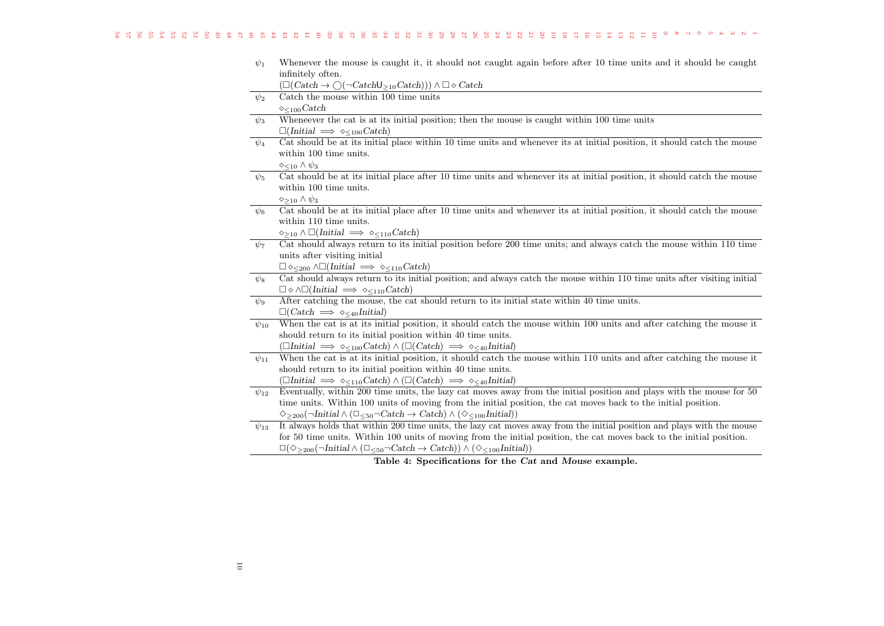| $\psi_1$    | Whenever the mouse is caught it, it should not caught again before after 10 time units and it should be caught                   |
|-------------|----------------------------------------------------------------------------------------------------------------------------------|
|             | infinitely often.                                                                                                                |
|             | $(\Box(Catch \to \bigcirc (\neg Catch \cup_{>10} Catch))) \land \Box \diamond Catch$                                             |
| $\psi_2$    | Catch the mouse within 100 time units                                                                                            |
|             | $\diamond$ <sub>&lt;100</sub> Catch                                                                                              |
| $\psi_3$    | Wheneever the cat is at its initial position; then the mouse is caught within 100 time units                                     |
|             | $\Box$ (Initial $\implies \Diamond_{\leq 100} \text{Catch}$ )                                                                    |
| $\psi_4$    | Cat should be at its initial place within 10 time units and whenever its at initial position, it should catch the mouse          |
|             | within 100 time units.                                                                                                           |
|             | $\diamond$ $10 \wedge \psi_3$                                                                                                    |
| $\psi_5$    | Cat should be at its initial place after 10 time units and whenever its at initial position, it should catch the mouse           |
|             | within 100 time units.                                                                                                           |
|             | $\diamond_{\geq 10} \wedge \psi_3$                                                                                               |
| $\psi_6$    | Cat should be at its initial place after 10 time units and whenever its at initial position, it should catch the mouse           |
|             | within 110 time units.                                                                                                           |
|             | $\Diamond_{\geq 10} \land \Box(\text{Initial} \implies \Diamond_{\leq 110} \text{Catch})$                                        |
| $\psi_7$    | Cat should always return to its initial position before 200 time units; and always catch the mouse within 110 time               |
|             | units after visiting initial                                                                                                     |
|             | $\Box \diamond_{\leq 200} \land \Box$ (Initial $\implies \diamond_{\leq 110} \text{Catch}$ )                                     |
| $\psi_8$    | Cat should always return to its initial position; and always catch the mouse within 110 time units after visiting initial        |
|             | $\Box \diamond \wedge \Box$ (Initial $\implies \diamond_{\leq 110} \text{Catch}$ )                                               |
| $\psi_9$    | After catching the mouse, the cat should return to its initial state within 40 time units.                                       |
|             | $\square$ (Catch $\implies \diamond_{\leq 40}$ Initial)                                                                          |
| $\psi_{10}$ | When the cat is at its initial position, it should catch the mouse within 100 units and after catching the mouse it              |
|             | should return to its initial position within 40 time units.                                                                      |
|             | $(\Box Initial \implies \diamond_{\leq 100} Catch) \land (\Box ( Catch) \implies \diamond_{\leq 40} Initial)$                    |
| $\psi_{11}$ | When the cat is at its initial position, it should catch the mouse within 110 units and after catching the mouse it              |
|             | should return to its initial position within 40 time units.                                                                      |
|             | $(\Box Initial \implies \diamond_{\leq 110} Catch) \land (\Box ( Catch) \implies \diamond_{\leq 40} Initial)$                    |
| $\psi_{12}$ | Eventually, within 200 time units, the lazy cat moves away from the initial position and plays with the mouse for 50             |
|             | time units. Within 100 units of moving from the initial position, the cat moves back to the initial position.                    |
|             | $\Diamond_{>200}(\neg Initial \land (\Box_{<50} \neg Catch \rightarrow Catch) \land (\Diamond_{<100}Initial))$                   |
| $\psi_{13}$ | It always holds that within 200 time units, the lazy cat moves away from the initial position and plays with the mouse           |
|             | for 50 time units. Within 100 units of moving from the initial position, the cat moves back to the initial position.             |
|             | $\Box(\Diamond_{\geq 200}(\neg Initial \land (\Box_{\leq 50} \neg Catch \rightarrow Catch)) \land (\Diamond_{\leq 100}Initial))$ |
|             | Table 4: Specifications for the Cat and Mouse example.                                                                           |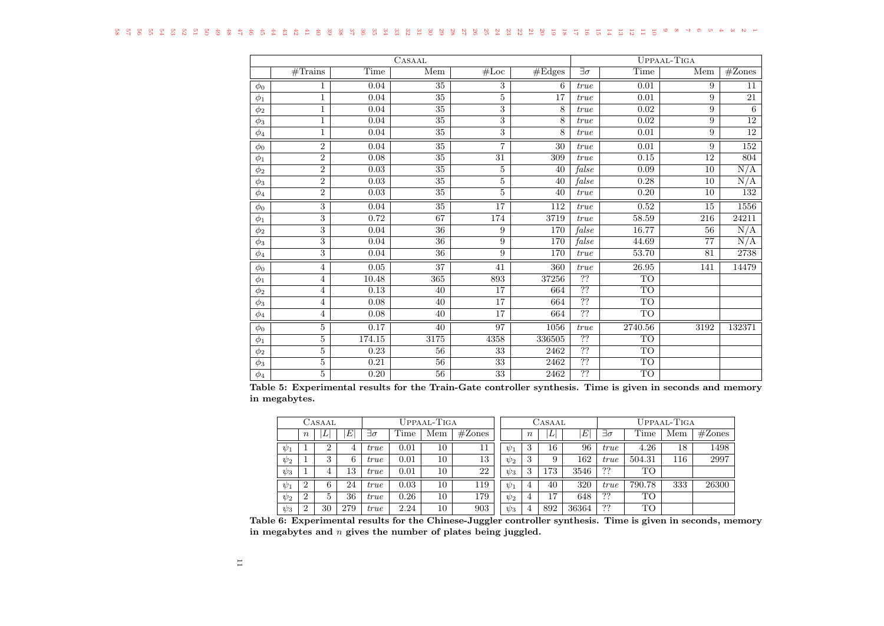| $\overline{\text{C}}$ ASAAL |                |        |                 |                  |        |                  | UPPAAL-TIGA    |      |                  |  |  |
|-----------------------------|----------------|--------|-----------------|------------------|--------|------------------|----------------|------|------------------|--|--|
|                             | #Trans         | Time   | Mem             | #Loc             | #Edges | $\exists \sigma$ | Time           | Mem  | #Zones           |  |  |
| $\phi_0$                    |                | 0.04   | 35              | 3                | 6      | <i>true</i>      | 0.01           | 9    | 11               |  |  |
| $\phi_1$                    | $\mathbf{1}$   | 0.04   | $\overline{35}$ | $\overline{5}$   | 17     | <i>true</i>      | 0.01           | 9    | $\overline{21}$  |  |  |
| $\phi_2$                    | $\mathbf{1}$   | 0.04   | 35              | 3                | 8      | true             | 0.02           | 9    | 6                |  |  |
| $\phi_3$                    | $\mathbf 1$    | 0.04   | $\overline{35}$ | $\overline{3}$   | 8      | <i>true</i>      | 0.02           | 9    | $\overline{12}$  |  |  |
| $\phi_4$                    | $\mathbf{1}$   | 0.04   | $\overline{35}$ | $\boldsymbol{3}$ | 8      | <i>true</i>      | 0.01           | 9    | $\overline{12}$  |  |  |
| $\phi_0$                    | $\overline{2}$ | 0.04   | 35              | $\overline{7}$   | 30     | true             | 0.01           | 9    | 152              |  |  |
| $\phi_1$                    | $\,2$          | 0.08   | $35\,$          | 31               | 309    | true             | $0.15\,$       | 12   | 804              |  |  |
| $\overline{\phi_2}$         | $\overline{2}$ | 0.03   | $\overline{35}$ | $\overline{5}$   | 40     | false            | 0.09           | 10   | $\overline{N/A}$ |  |  |
| $\phi_3$                    | $\,2$          | 0.03   | $\overline{35}$ | $\overline{5}$   | 40     | false            | $0.28\,$       | 10   | $\overline{N/A}$ |  |  |
| $\phi_4$                    | $\overline{2}$ | 0.03   | $35\,$          | 5                | 40     | true             | 0.20           | 10   | 132              |  |  |
| $\phi_0$                    | $\overline{3}$ | 0.04   | $\overline{35}$ | 17               | 112    | true             | 0.52           | 15   | 1556             |  |  |
| $\phi_1$                    | 3              | 0.72   | 67              | 174              | 3719   | true             | 58.59          | 216  | 24211            |  |  |
| $\phi_2$                    | $\overline{3}$ | 0.04   | 36              | 9                | 170    | false            | 16.77          | 56   | N/A              |  |  |
| $\phi_3$                    | $\overline{3}$ | 0.04   | $\overline{36}$ | 9                | 170    | false            | 44.69          | 77   | $\overline{N/A}$ |  |  |
| $\phi_4$                    | 3              | 0.04   | 36              | 9                | 170    | <i>true</i>      | $53.70\,$      | 81   | $2738\,$         |  |  |
| $\phi_0$                    | $\overline{4}$ | 0.05   | $\overline{37}$ | 41               | 360    | true             | $26.95\,$      | 141  | 14479            |  |  |
| $\phi_1$                    | 4              | 10.48  | 365             | 893              | 37256  | $\overline{?}$   | <b>TO</b>      |      |                  |  |  |
| $\phi_2$                    | $\overline{4}$ | 0.13   | 40              | 17               | 664    | $\overline{??}$  | <b>TO</b>      |      |                  |  |  |
| $\phi_3$                    | 4              | 0.08   | 40              | 17               | 664    | $\overline{?}$   | TO             |      |                  |  |  |
| $\phi_4$                    | 4              | 0.08   | 40              | 17               | 664    | $\overline{??}$  | <b>TO</b>      |      |                  |  |  |
| $\phi_0$                    | 5              | 0.17   | 40              | 97               | 1056   | true             | 2740.56        | 3192 | 132371           |  |  |
| $\phi_1$                    | 5              | 174.15 | 3175            | 4358             | 336505 | $\overline{?}$ ? | T <sub>O</sub> |      |                  |  |  |
| $\phi_2$                    | $\overline{5}$ | 0.23   | 56              | 33               | 2462   | $\overline{?}$   | TO             |      |                  |  |  |
| $\phi_3$                    | $\overline{5}$ | 0.21   | 56              | 33               | 2462   | $\overline{??}$  | T <sub>O</sub> |      |                  |  |  |
| $\phi_4$                    | $\overline{5}$ | 0.20   | $\overline{56}$ | 33               | 2462   | $\overline{?}$   | <b>TO</b>      |      |                  |  |  |

 Table 5: Experimental results for the Train-Gate controller synthesis. Time is <sup>g</sup>iven in seconds and memoryin megabytes.

| CASAAL   |                  |               |     |                  | Uppaal-Tiga |     |        | CASAAL   |               |     |       | UPPAAL-TIGA      |        |     |        |
|----------|------------------|---------------|-----|------------------|-------------|-----|--------|----------|---------------|-----|-------|------------------|--------|-----|--------|
|          | $\boldsymbol{n}$ | L             | E   | $\exists \sigma$ | Time        | Mem | #Zones |          | $n_{\rm c}$   | L   | Е     | $\exists \sigma$ | Time   | Mem | #Zones |
| $\psi_1$ |                  | ີ             | 4   | true             | 0.01        | 10  | 11     | $\psi_1$ | ച<br>IJ       | 16  | 96    | <i>true</i>      | 4.26   | 18  | 1498   |
| $\psi_2$ |                  | $\Omega$<br>Ð | 6   | <i>true</i>      | 0.01        | 10  | 13     | $\psi_2$ | 3             | 9   | 162   | true             | 504.31 | 116 | 2997   |
| $\psi_3$ |                  | 4             | 13  | true             | 0.01        | 10  | 22     | $\psi_3$ | $\Omega$<br>Ð | .73 | 3546  | ??               | TO     |     |        |
| $\psi_1$ | $\Omega$         | 6             | 24  | <i>true</i>      | 0.03        | 10  | 119    | $\psi_1$ | 4             | 40  | 320   | <i>true</i>      | 790.78 | 333 | 26300  |
| $\psi_2$ | റ                | 5             | 36  | <i>true</i>      | 0.26        | 10  | 179    | $\psi_2$ |               | 7   | 648   | ??               | TO     |     |        |
| $\psi_3$ | $\Omega$         | 30            | 279 | <i>true</i>      | 2.24        | 10  | 903    | $\psi_3$ | 4             | 892 | 36364 | ??               | TО     |     |        |

 $\begin{array}{|c|c|c|c|c|c|}\hline \psi_3 & 2 & 30 & 279 & true & 2.24 & 10 & 903 & \psi_3 & 4 & 892 & 36364 & ?? & \textbf{TO} & & \textbf{O} \ \textbf{Table 6: Experimental results for the Chinese-Juggler controller synthesis. Time is given in seconds, memory} \end{array}$ in megabytes and  $n$  gives the number of plates being juggled.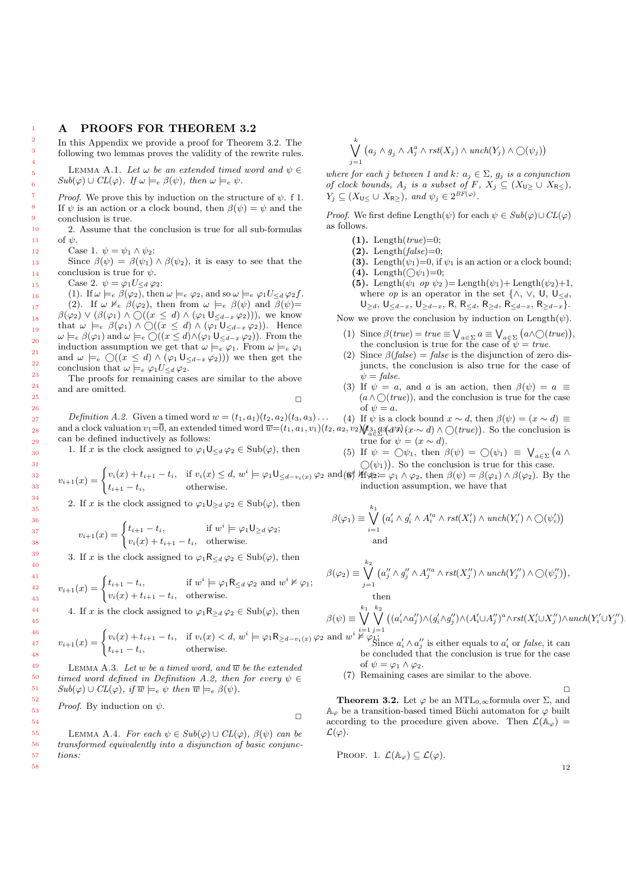## A PROOFS FOR THEOREM 3.2

In this Appendix we provide a proof for Theorem 3.2. The following two lemmas proves the validity of the rewrite rules.

LEMMA A.1. Let  $\omega$  be an extended timed word and  $\psi \in$  $Sub(\varphi) \cup CL(\varphi)$ *. If*  $\omega \models_e \beta(\psi)$ *, then*  $\omega \models_e \psi$ *.* 

*Proof.* We prove this by induction on the structure of  $\psi$ . f 1. If  $\psi$  is an action or a clock bound, then  $\beta(\psi) = \psi$  and the conclusion is true.

2. Assume that the conclusion is true for all sub-formulas of  $\psi$ .

Case 1.  $\psi = \psi_1 \wedge \psi_2$ :

Since  $\beta(\psi) = \beta(\psi_1) \wedge \beta(\psi_2)$ , it is easy to see that the conclusion is true for  $\psi$ .

Case 2.  $\psi = \varphi_1 U_{\leq d} \varphi_2$ :

(1). If  $\omega \models_e \beta(\varphi_2)$ , then  $\omega \models_e \varphi_2$ , and so  $\omega \models_e \varphi_1 U_{\leq d} \varphi_2 f$ . (2). If  $\omega \nvDash_{e} \beta(\varphi_2)$ , then from  $\omega \models_{e} \beta(\psi)$  and  $\beta(\psi)=$  $\beta(\varphi_2) \vee (\beta(\varphi_1) \wedge \bigcirc ((x \leq d) \wedge (\varphi_1 \cup_{\leq d-x} \varphi_2)))$ , we know that  $\omega \models_{e} \beta(\varphi_1) \wedge \bigcirc ((x \leq d) \wedge (\varphi_1 \cup_{\leq d-x} \varphi_2)).$  Hence  $\omega \models_{e} \beta(\varphi_1)$  and  $\omega \models_{e} \bigcirc ((x \leq d) \wedge (\varphi_1 \cup_{\leq d-x} \varphi_2)).$  From the induction assumption we get that  $\omega \models_e \varphi_1$ . From  $\omega \models_e \varphi_1$ and  $\omega \models_{e} \bigcirc ((x \leq d) \wedge (\varphi_1 \cup_{\leq d-x} \varphi_2))$  we then get the conclusion that  $\omega \models_e \varphi_1 U_{\leq d} \varphi_2$ .

The proofs for remaining cases are similar to the above and are omitted.

 $\Box$ 

 $\Box$ 

*Definition A.2.* Given a timed word  $w = (t_1, a_1)(t_2, a_2)(t_3, a_3) \ldots$ and a clock valuation  $v_1=0$ , an extended timed word  $\overline{w}=(t_1, a_1, v_1)(t_2, a_2, v_2)\langle t_3, a_3, a_4 \rangle$ can be defined inductively as follows:

1. If x is the clock assigned to  $\varphi_1 \mathsf{U}_{\le d} \varphi_2 \in \mathrm{Sub}(\varphi)$ , then

$$
v_{i+1}(x) = \begin{cases} v_i(x) + t_{i+1} - t_i, & \text{if } v_i(x) \le d, \ w^i \models \varphi_1 \mathsf{U}_{\le d - v_i(x)} \varphi_2 \ \text{and} \ (\mathbf{G}) & \text{otherwise.} \end{cases}
$$

2. If x is the clock assigned to  $\varphi_1 \mathsf{U}_{\geq d} \varphi_2 \in \mathrm{Sub}(\varphi)$ , then

$$
v_{i+1}(x) = \begin{cases} t_{i+1} - t_i, & \text{if } w^i \models \varphi_1 \mathsf{U}_{\geq d} \varphi_2; \\ v_i(x) + t_{i+1} - t_i, & \text{otherwise.} \end{cases}
$$

3. If x is the clock assigned to  $\varphi_1 \mathsf{R}_{\le d} \varphi_2 \in \text{Sub}(\varphi)$ , then

$$
v_{i+1}(x) = \begin{cases} t_{i+1} - t_i, & \text{if } w^i \models \varphi_1 \mathsf{R}_{\leq d} \varphi_2 \text{ and } w^i \nvDash \varphi_1; \\ v_i(x) + t_{i+1} - t_i, & \text{otherwise.} \end{cases}
$$

4. If x is the clock assigned to  $\varphi_1 \mathsf{R}_{\geq d} \varphi_2 \in \text{Sub}(\varphi)$ , then

$$
v_{i+1}(x) = \begin{cases} v_i(x) + t_{i+1} - t_i, & \text{if } v_i(x) < d, \ w^i \models \varphi_1 \mathsf{R}_{\geq d-v_i(x)} \ \varphi_2 \text{ and } w^i \not\models \varphi_1, \\ t_{i+1} - t_i, & \text{otherwise.} \end{cases}
$$

LEMMA A.3. Let w be a timed word, and  $\overline{w}$  be the extended *timed word defined in Definition A.2, then for every*  $\psi \in$  $Sub(\varphi) \cup CL(\varphi), \text{ if } \overline{w} \models_e \psi \text{ then } \overline{w} \models_e \beta(\psi).$ 

*Proof.* By induction on  $\psi$ .

LEMMA A.4. *For each*  $\psi \in Sub(\varphi) \cup CL(\varphi)$ ,  $\beta(\psi)$  *can be transformed equivalently into a disjunction of basic conjunctions:*

$$
\bigvee_{j=1}^k (a_j \wedge g_j \wedge A_j^a \wedge rst(X_j) \wedge unch(Y_j) \wedge \bigcirc (\psi_j))
$$

*where for each j between 1 and k:*  $a_j \in \Sigma$ ,  $g_j$  *is a conjunction of clock bounds,*  $A_j$  *is a subset of*  $F$ *,*  $X_j \subseteq (X_{\cup \geq \cup} X_{\cup \infty})$ *,*  $Y_j \subseteq (X_{\mathsf{U}\leq \mathsf{U}} \ X_{\mathsf{R}\geq}), \ and \ \psi_j \in 2^{BF(\varphi)}.$ 

*Proof.* We first define Length( $\psi$ ) for each  $\psi \in Sub(\varphi) \cup CL(\varphi)$ as follows.

- $(1)$ . Length $(true)=0;$
- $(2)$ . Length( $false$ )=0;
- (3). Length $(\psi_1)=0$ , if  $\psi_1$  is an action or a clock bound;
- (4). Length $(\bigcirc \psi_1)=0;$ (5). Length $(\psi_1 \text{ op } \psi_2)$ = Length $(\psi_1)$ + Length $(\psi_2)$ +1, where *op* is an operator in the set  $\{\wedge, \vee, \mathsf{U}, \mathsf{U}_{\leq d},\}$ U<sub>≥d</sub>, U<sub>≤d−x</sub>, U<sub>≥d−x</sub>, R, R<sub>≤d</sub>, R<sub>≥d</sub>, R<sub>≤d−x</sub>, R<sub>≥d−x</sub>}.

Now we prove the conclusion by induction on Length $(\psi)$ .

- (1) Since  $\beta(true) = true \equiv \bigvee_{a \in \Sigma} a \equiv \bigvee_{a \in \Sigma} (a \wedge \bigcirc (true)),$ the conclusion is true for the case of  $\psi = true$ .
- (2) Since  $\beta(false) = false$  is the disjunction of zero disjuncts, the conclusion is also true for the case of  $\psi = false$ .
- (3) If  $\psi = a$ , and a is an action, then  $\beta(\psi) = a \equiv$  $(a \wedge \bigcirc (true))$ , and the conclusion is true for the case of  $\psi = a$ .

(4) If 
$$
\psi
$$
 is a clock bound  $x \sim d$ , then  $\beta(\psi) = (x \sim d) \equiv$ 

 $\mathcal{M}_{a \in \mathbb{Z}}^3$  as  $\langle a \rangle \langle (x \sim d) \wedge (y \rangle$ . So the conclusion is true for  $\psi = (x \sim d)$ .

(5) If 
$$
\psi = \bigcirc \psi_1
$$
, then  $\beta(\psi) = \bigcirc (\psi_1) \equiv \bigvee_{a \in \Sigma} (a \wedge \bigcirc (\psi_1))$ . So the conclusion is true for this case.

(6)  $\check{\mathfrak{h}}(\phi) = \varphi_1 \wedge \varphi_2$ , then  $\beta(\psi) = \beta(\varphi_1) \wedge \beta(\varphi_2)$ . By the induction assumption, we have that

$$
\beta(\varphi_1) \equiv \bigvee_{i=1}^{k_1} \left( a'_i \wedge g'_i \wedge A'^a_i \wedge \text{rst}(X'_i) \wedge \text{unch}(Y'_i) \wedge \bigcirc(\psi'_i)\right)
$$
  
and

$$
\beta(\varphi_2) \equiv \bigvee_{j=1}^{k_2} (a''_j \wedge g''_j \wedge A''_j a \wedge rst(X''_j) \wedge \text{unch}(Y''_j) \wedge \bigcirc(\psi''_j)),
$$
  
then  

$$
\beta(\psi) \equiv \bigvee_{k_1}^{k_1} \bigvee_{k_2} ((a'_i \wedge a''_j) \wedge (g'_i \wedge g''_j) \wedge (A'_i \cup A''_j a \wedge rst(X'_i \cup X''_j) \wedge \text{unch}(Y''_j))
$$

 $i=1$   $j=1$ Since  $a'_i \wedge a''_j$  is either equals to  $a'_i$  or *false*, it can be concluded that the conclusion is true for the case of  $\psi = \varphi_1 \wedge \varphi_2$ .

(7) Remaining cases are similar to the above.

 $\Box$ 

 $i' \cup Y''_j$ ),

**Theorem 3.2.** Let  $\varphi$  be an MTL<sub>0, $\infty$ </sub> formula over  $\Sigma$ , and  $\mathbb{A}_{\varphi}$  be a transition-based timed Büchi automaton for  $\varphi$  built according to the procedure given above. Then  $\mathcal{L}(\mathbb{A}_{\varphi}) =$  $\mathcal{L}(\varphi)$ .

PROOF. 1. 
$$
\mathcal{L}(\mathbb{A}_{\varphi}) \subseteq \mathcal{L}(\varphi)
$$
.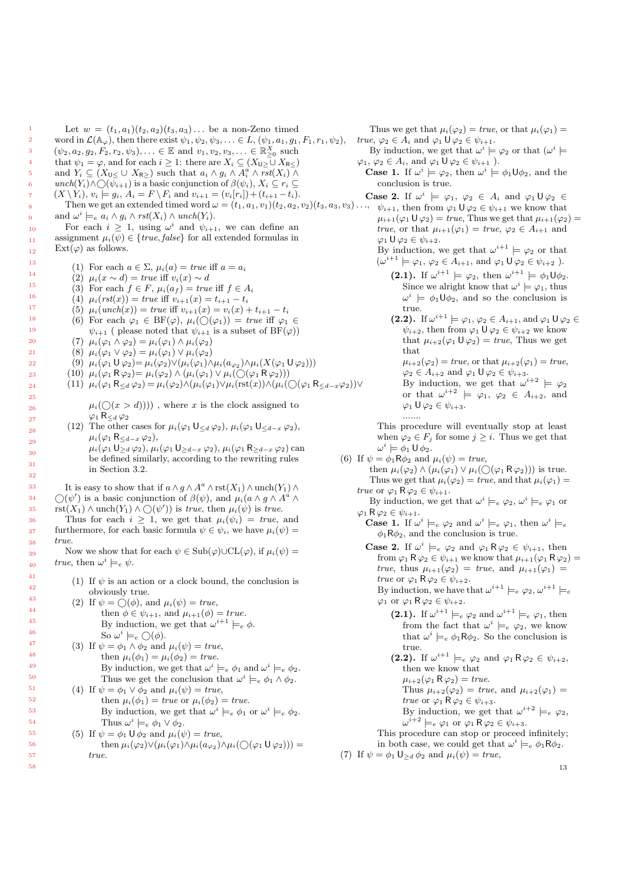$\overline{2}$ 3 4 5 6 7 8 9 10 11 12 13 14 15 16 17 18 19 20 21 22 23 24 25 26 27 28 29 30 31 32 33 34 35 36 37 38 39 40 41 42 43 44 45 46 47 48 49 50 51 50 53 54 55 56 Let  $w = (t_1, a_1)(t_2, a_2)(t_3, a_3) \dots$  be a non-Zeno timed word in  $\mathcal{L}(\mathbb{A}_{\varphi})$ , then there exist  $\psi_1, \psi_2, \psi_3, \ldots \in L$ ,  $(\psi_1, a_1, g_1, F_1, r_1, \psi_2)$ ,  $(\psi_2, a_2, g_2, F_2, r_2, \psi_3), \ldots \in \mathbb{E}$  and  $v_1, v_2, v_3, \ldots \in \mathbb{R}_{\geq 0}^X$  such that  $\psi_1 = \varphi$ , and for each  $i \geq 1$ : there are  $X_i \subseteq (X_{\mathsf{U}}) \cup X_{\mathsf{R}}$ and  $Y_i \subseteq (X_{\cup \leq} \cup X_{\cup \geq})$  such that  $a_i \wedge g_i \wedge A_i^a \wedge \overline{rst(X_i)} \wedge$  $unch(Y_i) \land \bigcirc (\psi_{i+1})$  is a basic conjunction of  $\beta(\psi_i)$ ,  $X_i \subseteq r_i \subseteq$  $(X \setminus Y_i), v_i \models g_i, A_i = F \setminus F_i$  and  $v_{i+1} = (v_i[r_i]) + (t_{i+1} - t_i)$ . Then we get an extended timed word  $\omega = (t_1, a_1, v_1)(t_2, a_2, v_2)(t_3, a_3, v_3) \dots$ ,  $\psi_{i+1}$ , then from  $\varphi_1 \cup \varphi_2 \in \psi_{i+1}$  we know that and  $\omega^i \models_e a_i \land g_i \land \text{rst}(X_i) \land \text{unch}(Y_i)$ . For each  $i \geq 1$ , using  $\omega^i$  and  $\psi_{i+1}$ , we can define an assignment  $\mu_i(\psi) \in \{true, false\}$  for all extended formulas in  $Ext(\varphi)$  as follows. (1) For each  $a \in \Sigma$ ,  $\mu_i(a) = true$  iff  $a = a_i$ (2)  $\mu_i(x \sim d) = true$  iff  $v_i(x) \sim d$ (3) For each  $f \in F$ ,  $\mu_i(a_f) = true$  iff  $f \in A_i$ (4)  $\mu_i(rst(x)) = true$  iff  $v_{i+1}(x) = t_{i+1} - t_i$ (5)  $\mu_i(\text{unch}(x)) = \text{true} \text{ iff } v_{i+1}(x) = v_i(x) + t_{i+1} - t_i$ (6) For each  $\varphi_1 \in BF(\varphi), \mu_i(\bigcirc(\varphi_1)) = true$  iff  $\varphi_1 \in$  $\psi_{i+1}$  ( please noted that  $\psi_{i+1}$  is a subset of  $\mathrm{BF}(\varphi)$ ) (7)  $\mu_i(\varphi_1 \wedge \varphi_2) = \mu_i(\varphi_1) \wedge \mu_i(\varphi_2)$ (8)  $\mu_i(\varphi_1 \vee \varphi_2) = \mu_i(\varphi_1) \vee \mu_i(\varphi_2)$ (9)  $\mu_i(\varphi_1 \cup \varphi_2) = \mu_i(\varphi_2) \vee (\mu_i(\varphi_1) \wedge \mu_i(a_{\varphi_2}) \wedge \mu_i(X(\varphi_1 \cup \varphi_2)))$ (10)  $\mu_i(\varphi_1 \mathsf{R} \varphi_2) = \mu_i(\varphi_2) \wedge (\mu_i(\varphi_1) \vee \mu_i(\bigcirc (\varphi_1 \mathsf{R} \varphi_2)))$ (11)  $\mu_i(\varphi_1 \mathsf{R}_{\leq d} \varphi_2) = \mu_i(\varphi_2) \wedge (\mu_i(\varphi_1) \vee \mu_i(\mathrm{rst}(x)) \wedge (\mu_i(\bigcirc (\varphi_1 \mathsf{R}_{\leq d-x} \varphi_2)) \vee$  $\mu_i(\bigcirc (x > d))))$ , where x is the clock assigned to  $\varphi_1$  R  $d \varphi_2$ (12) The other cases for  $\mu_i(\varphi_1 \cup_{\leq d} \varphi_2)$ ,  $\mu_i(\varphi_1 \cup_{\leq d-x} \varphi_2)$ ,  $\mu_i(\varphi_1 \mathsf{R}_{\leq d-x} \varphi_2),$  $\mu_i(\varphi_1 \cup_{\geq d} \varphi_2), \mu_i(\varphi_1 \cup_{\geq d-x} \varphi_2), \mu_i(\varphi_1 \mathsf{R}_{\geq d-x} \varphi_2)$  can be defined similarly, according to the rewriting rules in Section 3.2. It is easy to show that if  $a \wedge g \wedge A^a \wedge \text{rst}(X_1) \wedge \text{unch}(Y_1) \wedge$  $\bigcirc(\psi')$  is a basic conjunction of  $\beta(\psi)$ , and  $\mu_i(a \wedge g \wedge A^a \wedge b)$ rst $(X_1) \wedge \text{unch}(Y_1) \wedge \bigcirc (\psi')$  is *true*, then  $\mu_i(\psi)$  is *true*. Thus for each  $i \geq 1$ , we get that  $\mu_i(\psi_i) = \text{true}$ , and furthermore, for each basic formula  $\psi \in \psi_i$ , we have  $\mu_i(\psi) =$ *true*. Now we show that for each  $\psi \in \text{Sub}(\varphi) \cup \text{CL}(\varphi)$ , if  $\mu_i(\psi) =$ *true*, then  $\omega^i \models_e \psi$ . (1) If  $\psi$  is an action or a clock bound, the conclusion is obviously true. (2) If  $\psi = \bigcirc(\phi)$ , and  $\mu_i(\psi) = true$ , then  $\phi \in \psi_{i+1}$ , and  $\mu_{i+1}(\phi) = true$ . By induction, we get that  $\omega^{i+1} \models_e \phi$ . So  $\omega^i \models_e \bigcirc (\phi)$ . (3) If  $\psi = \phi_1 \wedge \phi_2$  and  $\mu_i(\psi) = true$ , then  $\mu_i(\phi_1) = \mu_i(\phi_2) = true$ . By induction, we get that  $\omega^i \models_e \phi_1$  and  $\omega^i \models_e \phi_2$ . Thus we get the conclusion that  $\omega^i \models_e \phi_1 \land \phi_2$ . (4) If  $\psi = \phi_1 \vee \phi_2$  and  $\mu_i(\psi) = true$ , then  $\mu_i(\phi_1) = true$  or  $\mu_i(\phi_2) = true$ . By induction, we get that  $\omega^i \models_e \phi_1$  or  $\omega^i \models_e \phi_2$ . Thus  $\omega^i \models_e \phi_1 \lor \phi_2$ . (5) If  $\psi = \phi_1 \mathsf{U} \phi_2$  and  $\mu_i(\psi) = true$ , then  $\mu_i(\varphi_2) \vee (\mu_i(\varphi_1) \wedge \mu_i(a_{\varphi_2}) \wedge \mu_i(\bigcirc (\varphi_1 \cup \varphi_2))) =$ 

1

57 58 *true*.

Thus we get that  $\mu_i(\varphi_2) = true$ , or that  $\mu_i(\varphi_1) =$ *true*,  $\varphi_2 \in A_i$  and  $\varphi_1 \cup \varphi_2 \in \psi_{i+1}$ .

By induction, we get that  $\omega^i \models \varphi_2$  or that  $(\omega^i \models$  $\varphi_1, \varphi_2 \in A_i$ , and  $\varphi_1 \cup \varphi_2 \in \psi_{i+1}$ ).

**Case 1.** If  $\omega^i \models \varphi_2$ , then  $\omega^i \models \phi_1 \mathsf{U} \phi_2$ , and the conclusion is true.

**Case 2.** If  $\omega^i \models \varphi_1, \varphi_2 \in A_i$  and  $\varphi_1 \cup \varphi_2 \in A_i$ 

 $\mu_{i+1}(\varphi_1 \cup \varphi_2) = \text{true}$ , Thus we get that  $\mu_{i+1}(\varphi_2) =$ *true*, or that  $\mu_{i+1}(\varphi_1) = \text{true}, \varphi_2 \in A_{i+1}$  and  $\varphi_1 \mathsf{U} \varphi_2 \in \psi_{i+2}.$ 

By induction, we get that  $\omega^{i+1} \models \varphi_2$  or that  $(\omega^{i+1} \models \varphi_1, \varphi_2 \in A_{i+1}, \text{ and } \varphi_1 \cup \varphi_2 \in \psi_{i+2}).$ 

- (2.1). If  $\omega^{i+1} \models \varphi_2$ , then  $\omega^{i+1} \models \phi_1 \mathsf{U} \phi_2$ . Since we alright know that  $\omega^i \models \varphi_1$ , thus  $\omega^i$   $\models$   $\phi_1 \mathsf{U} \phi_2$ , and so the conclusion is true.
- (2.2). If  $\omega^{i+1} \models \varphi_1, \varphi_2 \in A_{i+1}$ , and  $\varphi_1 \cup \varphi_2 \in$  $\psi_{i+2}$ , then from  $\varphi_1 \cup \varphi_2 \in \psi_{i+2}$  we know that  $\mu_{i+2}(\varphi_1 \cup \varphi_2) = \text{true}$ , Thus we get that  $\mu_{i+2}(\varphi_2) = true$ , or that  $\mu_{i+2}(\varphi_1) = true$ ,  $\varphi_2 \in A_{i+2}$  and  $\varphi_1 \cup \varphi_2 \in \psi_{i+3}$ . By induction, we get that  $\omega^{i+2} \models \varphi_2$

or that  $\omega^{i+2} \models \varphi_1, \varphi_2 \in A_{i+2}$ , and  $\varphi_1 \cup \varphi_2 \in \psi_{i+3}$ . .......

This procedure will eventually stop at least when  $\varphi_2 \in F_j$  for some  $j \geq i$ . Thus we get that  $\omega^i \models \phi_1 \mathsf{U} \, \phi_2.$ 

(6) If  $\psi = \phi_1 \mathsf{R} \phi_2$  and  $\mu_i(\psi) = true$ , then  $\mu_i(\varphi_2) \wedge (\mu_i(\varphi_1) \vee \mu_i(\bigcirc (\varphi_1 \mathsf{R} \varphi_2)))$  is true. Thus we get that  $\mu_i(\varphi_2) = \text{true}$ , and that  $\mu_i(\varphi_1) =$ *true* or  $\varphi_1 \mathsf{R} \varphi_2 \in \psi_{i+1}$ .

By induction, we get that  $\omega^i \models_e \varphi_2, \omega^i \models_e \varphi_1$  or  $\varphi_1 \mathsf{R} \varphi_2 \in \psi_{i+1}.$ 

**Case 1.** If  $\omega^i \models_e \varphi_2$  and  $\omega^i \models_e \varphi_1$ , then  $\omega^i \models_e$  $\phi_1 \mathsf{R} \phi_2$ , and the conclusion is true.

**Case 2.** If  $\omega^i \models_e \varphi_2$  and  $\varphi_1 \mathsf{R} \varphi_2 \in \psi_{i+1}$ , then from  $\varphi_1 \mathsf{R} \varphi_2 \in \psi_{i+1}$  we know that  $\mu_{i+1}(\varphi_1 \mathsf{R} \varphi_2) =$ *true*, thus  $\mu_{i+1}(\varphi_2) = \text{true}$ , and  $\mu_{i+1}(\varphi_1) =$ *true* or  $\varphi_1 \mathsf{R} \varphi_2 \in \psi_{i+2}$ .

By induction, we have that  $\omega^{i+1} \models_e \varphi_2, \omega^{i+1} \models_e$  $\varphi_1$  or  $\varphi_1 \mathsf{R} \varphi_2 \in \psi_{i+2}$ .

- (2.1). If  $\omega^{i+1} \models_e \varphi_2$  and  $\omega^{i+1} \models_e \varphi_1$ , then from the fact that  $\omega^i \models_e \varphi_2$ , we know that  $\omega^i \models_e \phi_1 \mathsf{R} \phi_2$ . So the conclusion is true.
- (2.2). If  $\omega^{i+1} \models_e \varphi_2$  and  $\varphi_1 \mathsf{R} \varphi_2 \in \psi_{i+2}$ , then we know that

 $\mu_{i+2}(\varphi_1 \mathsf{R} \varphi_2) = \text{true}.$ 

Thus  $\mu_{i+2}(\varphi_2) = true$ , and  $\mu_{i+2}(\varphi_1) =$ *true* or  $\varphi_1 \mathsf{R} \varphi_2 \in \psi_{i+3}$ .

By induction, we get that  $\omega^{i+2} \models_e \varphi_2$ ,  $\omega^{i+2} \models_e \varphi_1 \text{ or } \varphi_1 \mathsf{R} \varphi_2 \in \psi_{i+3}.$ 

This procedure can stop or proceed infinitely; in both case, we could get that  $\omega^i \models_e \phi_1 \mathsf{R} \phi_2$ .

(7) If  $\psi = \phi_1 \mathsf{U}_{\geq d} \phi_2$  and  $\mu_i(\psi) = true$ ,